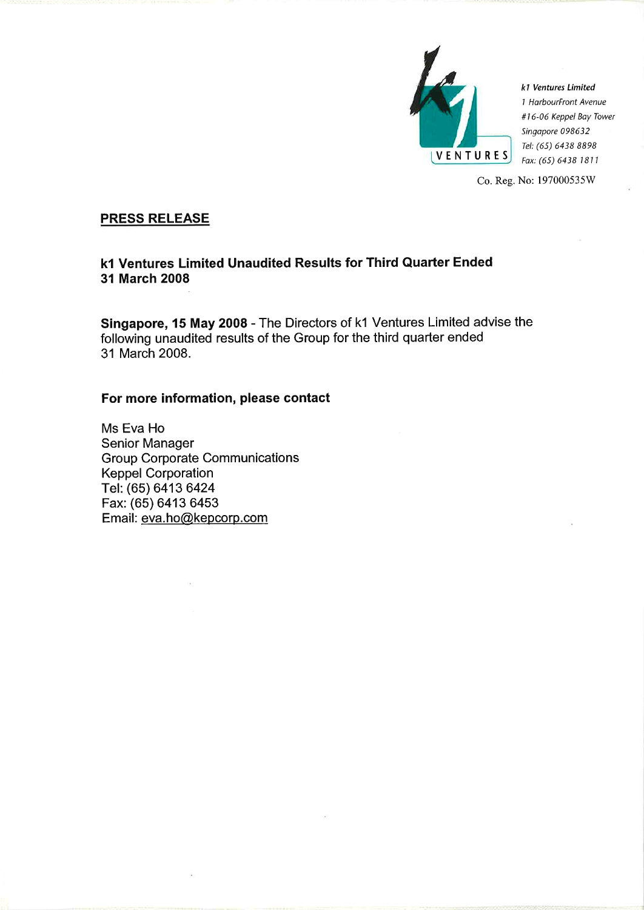

k1 Ventures Limited 1 HarbourFront Avenue #16-06 Keppel Bay Tower Singapore 098632 Tel: (65) 6438 8898 Fax: (65) 6438 1811

Co. Reg. No: 197000535W

# **PRESS RELEASE**

# k1 Ventures Limited Unaudited Results for Third Quarter Ended 31 March 2008

Singapore, 15 May 2008 - The Directors of k1 Ventures Limited advise the following unaudited results of the Group for the third quarter ended 31 March 2008.

# For more information, please contact

Ms Eva Ho **Senior Manager Group Corporate Communications Keppel Corporation** Tel. (65) 6413 6424 Fax: (65) 6413 6453 Email: eva.ho@kepcorp.com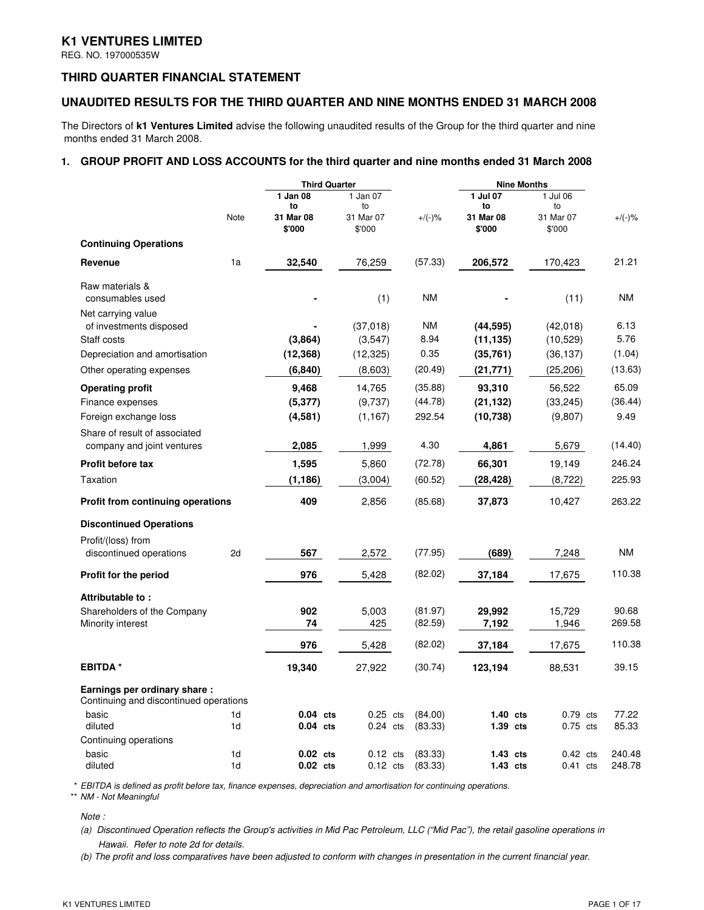## **K1 VENTURES LIMITED**

REG. NO. 197000535W

## **THIRD QUARTER FINANCIAL STATEMENT**

## **UNAUDITED RESULTS FOR THE THIRD QUARTER AND NINE MONTHS ENDED 31 MARCH 2008**

The Directors of **k1 Ventures Limited** advise the following unaudited results of the Group for the third quarter and nine months ended 31 March 2008.

## **1. GROUP PROFIT AND LOSS ACCOUNTS for the third quarter and nine months ended 31 March 2008**

| 1 Jan 08<br>1 Jan 07<br>1 Jul 07<br>1 Jul 06<br>to<br>to<br>to<br>to<br>Note<br>31 Mar 08<br>$+/(-)$ %<br>31 Mar 08<br>31 Mar 07<br>31 Mar 07<br>$+/(-)$ %<br>\$'000<br>\$'000<br>\$'000<br>\$'000<br><b>Continuing Operations</b><br>1a<br>21.21<br>(57.33)<br>Revenue<br>32,540<br>76,259<br>206,572<br>170,423<br>Raw materials &<br><b>NM</b><br><b>NM</b><br>(1)<br>(11)<br>consumables used<br>Net carrying value<br>(37,018)<br>ΝM<br>(42, 018)<br>6.13<br>of investments disposed<br>(44, 595)<br>5.76<br>(3,864)<br>8.94<br>(10, 529)<br>Staff costs<br>(3, 547)<br>(11, 135)<br>Depreciation and amortisation<br>(12, 368)<br>0.35<br>(1.04)<br>(12, 325)<br>(35,761)<br>(36, 137)<br>(20.49)<br>(13.63)<br>Other operating expenses<br>(6, 840)<br>(8,603)<br>(21,771)<br>(25,206)<br>65.09<br>9,468<br>14,765<br>(35.88)<br>93,310<br>56,522<br><b>Operating profit</b><br>(36.44)<br>(5, 377)<br>(9,737)<br>(44.78)<br>(21, 132)<br>(33, 245)<br>Finance expenses<br>292.54<br>9.49<br>Foreign exchange loss<br>(4,581)<br>(1, 167)<br>(10, 738)<br>(9,807)<br>Share of result of associated<br>2,085<br>4.30<br>company and joint ventures<br>1,999<br>4,861<br>5,679<br>(14.40)<br>1,595<br>5,860<br>66,301<br>19,149<br>Profit before tax<br>(72.78)<br>246.24<br>225.93<br>Taxation<br>(1, 186)<br>(28, 428)<br>(3,004)<br>(60.52)<br>(8, 722)<br>409<br>263.22<br>(85.68)<br>Profit from continuing operations<br>2,856<br>37,873<br>10,427<br><b>Discontinued Operations</b><br>Profit/(loss) from<br><b>NM</b><br>567<br>2,572<br>(77.95)<br>(689)<br>discontinued operations<br>2d<br>7,248<br>110.38<br>976<br>(82.02)<br>5,428<br>37,184<br>17,675<br>Profit for the period<br>Attributable to:<br>90.68<br>902<br>5,003<br>(81.97)<br>29,992<br>15,729<br>Shareholders of the Company<br>269.58<br>74<br>(82.59)<br>7,192<br>1,946<br>Minority interest<br>425<br>110.38<br>(82.02)<br>976<br>5,428<br>37,184<br>17,675<br><b>EBITDA</b> <sup>*</sup><br>19,340<br>39.15<br>27,922<br>(30.74)<br>123,194<br>88,531 |  | <b>Third Quarter</b> |  | <b>Nine Months</b> |  |
|--------------------------------------------------------------------------------------------------------------------------------------------------------------------------------------------------------------------------------------------------------------------------------------------------------------------------------------------------------------------------------------------------------------------------------------------------------------------------------------------------------------------------------------------------------------------------------------------------------------------------------------------------------------------------------------------------------------------------------------------------------------------------------------------------------------------------------------------------------------------------------------------------------------------------------------------------------------------------------------------------------------------------------------------------------------------------------------------------------------------------------------------------------------------------------------------------------------------------------------------------------------------------------------------------------------------------------------------------------------------------------------------------------------------------------------------------------------------------------------------------------------------------------------------------------------------------------------------------------------------------------------------------------------------------------------------------------------------------------------------------------------------------------------------------------------------------------------------------------------------------------------------------------------------------------------------------------------------------------------------------------------------------------------------|--|----------------------|--|--------------------|--|
|                                                                                                                                                                                                                                                                                                                                                                                                                                                                                                                                                                                                                                                                                                                                                                                                                                                                                                                                                                                                                                                                                                                                                                                                                                                                                                                                                                                                                                                                                                                                                                                                                                                                                                                                                                                                                                                                                                                                                                                                                                            |  |                      |  |                    |  |
|                                                                                                                                                                                                                                                                                                                                                                                                                                                                                                                                                                                                                                                                                                                                                                                                                                                                                                                                                                                                                                                                                                                                                                                                                                                                                                                                                                                                                                                                                                                                                                                                                                                                                                                                                                                                                                                                                                                                                                                                                                            |  |                      |  |                    |  |
|                                                                                                                                                                                                                                                                                                                                                                                                                                                                                                                                                                                                                                                                                                                                                                                                                                                                                                                                                                                                                                                                                                                                                                                                                                                                                                                                                                                                                                                                                                                                                                                                                                                                                                                                                                                                                                                                                                                                                                                                                                            |  |                      |  |                    |  |
|                                                                                                                                                                                                                                                                                                                                                                                                                                                                                                                                                                                                                                                                                                                                                                                                                                                                                                                                                                                                                                                                                                                                                                                                                                                                                                                                                                                                                                                                                                                                                                                                                                                                                                                                                                                                                                                                                                                                                                                                                                            |  |                      |  |                    |  |
|                                                                                                                                                                                                                                                                                                                                                                                                                                                                                                                                                                                                                                                                                                                                                                                                                                                                                                                                                                                                                                                                                                                                                                                                                                                                                                                                                                                                                                                                                                                                                                                                                                                                                                                                                                                                                                                                                                                                                                                                                                            |  |                      |  |                    |  |
|                                                                                                                                                                                                                                                                                                                                                                                                                                                                                                                                                                                                                                                                                                                                                                                                                                                                                                                                                                                                                                                                                                                                                                                                                                                                                                                                                                                                                                                                                                                                                                                                                                                                                                                                                                                                                                                                                                                                                                                                                                            |  |                      |  |                    |  |
|                                                                                                                                                                                                                                                                                                                                                                                                                                                                                                                                                                                                                                                                                                                                                                                                                                                                                                                                                                                                                                                                                                                                                                                                                                                                                                                                                                                                                                                                                                                                                                                                                                                                                                                                                                                                                                                                                                                                                                                                                                            |  |                      |  |                    |  |
|                                                                                                                                                                                                                                                                                                                                                                                                                                                                                                                                                                                                                                                                                                                                                                                                                                                                                                                                                                                                                                                                                                                                                                                                                                                                                                                                                                                                                                                                                                                                                                                                                                                                                                                                                                                                                                                                                                                                                                                                                                            |  |                      |  |                    |  |
|                                                                                                                                                                                                                                                                                                                                                                                                                                                                                                                                                                                                                                                                                                                                                                                                                                                                                                                                                                                                                                                                                                                                                                                                                                                                                                                                                                                                                                                                                                                                                                                                                                                                                                                                                                                                                                                                                                                                                                                                                                            |  |                      |  |                    |  |
|                                                                                                                                                                                                                                                                                                                                                                                                                                                                                                                                                                                                                                                                                                                                                                                                                                                                                                                                                                                                                                                                                                                                                                                                                                                                                                                                                                                                                                                                                                                                                                                                                                                                                                                                                                                                                                                                                                                                                                                                                                            |  |                      |  |                    |  |
|                                                                                                                                                                                                                                                                                                                                                                                                                                                                                                                                                                                                                                                                                                                                                                                                                                                                                                                                                                                                                                                                                                                                                                                                                                                                                                                                                                                                                                                                                                                                                                                                                                                                                                                                                                                                                                                                                                                                                                                                                                            |  |                      |  |                    |  |
|                                                                                                                                                                                                                                                                                                                                                                                                                                                                                                                                                                                                                                                                                                                                                                                                                                                                                                                                                                                                                                                                                                                                                                                                                                                                                                                                                                                                                                                                                                                                                                                                                                                                                                                                                                                                                                                                                                                                                                                                                                            |  |                      |  |                    |  |
|                                                                                                                                                                                                                                                                                                                                                                                                                                                                                                                                                                                                                                                                                                                                                                                                                                                                                                                                                                                                                                                                                                                                                                                                                                                                                                                                                                                                                                                                                                                                                                                                                                                                                                                                                                                                                                                                                                                                                                                                                                            |  |                      |  |                    |  |
|                                                                                                                                                                                                                                                                                                                                                                                                                                                                                                                                                                                                                                                                                                                                                                                                                                                                                                                                                                                                                                                                                                                                                                                                                                                                                                                                                                                                                                                                                                                                                                                                                                                                                                                                                                                                                                                                                                                                                                                                                                            |  |                      |  |                    |  |
|                                                                                                                                                                                                                                                                                                                                                                                                                                                                                                                                                                                                                                                                                                                                                                                                                                                                                                                                                                                                                                                                                                                                                                                                                                                                                                                                                                                                                                                                                                                                                                                                                                                                                                                                                                                                                                                                                                                                                                                                                                            |  |                      |  |                    |  |
|                                                                                                                                                                                                                                                                                                                                                                                                                                                                                                                                                                                                                                                                                                                                                                                                                                                                                                                                                                                                                                                                                                                                                                                                                                                                                                                                                                                                                                                                                                                                                                                                                                                                                                                                                                                                                                                                                                                                                                                                                                            |  |                      |  |                    |  |
|                                                                                                                                                                                                                                                                                                                                                                                                                                                                                                                                                                                                                                                                                                                                                                                                                                                                                                                                                                                                                                                                                                                                                                                                                                                                                                                                                                                                                                                                                                                                                                                                                                                                                                                                                                                                                                                                                                                                                                                                                                            |  |                      |  |                    |  |
|                                                                                                                                                                                                                                                                                                                                                                                                                                                                                                                                                                                                                                                                                                                                                                                                                                                                                                                                                                                                                                                                                                                                                                                                                                                                                                                                                                                                                                                                                                                                                                                                                                                                                                                                                                                                                                                                                                                                                                                                                                            |  |                      |  |                    |  |
|                                                                                                                                                                                                                                                                                                                                                                                                                                                                                                                                                                                                                                                                                                                                                                                                                                                                                                                                                                                                                                                                                                                                                                                                                                                                                                                                                                                                                                                                                                                                                                                                                                                                                                                                                                                                                                                                                                                                                                                                                                            |  |                      |  |                    |  |
|                                                                                                                                                                                                                                                                                                                                                                                                                                                                                                                                                                                                                                                                                                                                                                                                                                                                                                                                                                                                                                                                                                                                                                                                                                                                                                                                                                                                                                                                                                                                                                                                                                                                                                                                                                                                                                                                                                                                                                                                                                            |  |                      |  |                    |  |
|                                                                                                                                                                                                                                                                                                                                                                                                                                                                                                                                                                                                                                                                                                                                                                                                                                                                                                                                                                                                                                                                                                                                                                                                                                                                                                                                                                                                                                                                                                                                                                                                                                                                                                                                                                                                                                                                                                                                                                                                                                            |  |                      |  |                    |  |
|                                                                                                                                                                                                                                                                                                                                                                                                                                                                                                                                                                                                                                                                                                                                                                                                                                                                                                                                                                                                                                                                                                                                                                                                                                                                                                                                                                                                                                                                                                                                                                                                                                                                                                                                                                                                                                                                                                                                                                                                                                            |  |                      |  |                    |  |
|                                                                                                                                                                                                                                                                                                                                                                                                                                                                                                                                                                                                                                                                                                                                                                                                                                                                                                                                                                                                                                                                                                                                                                                                                                                                                                                                                                                                                                                                                                                                                                                                                                                                                                                                                                                                                                                                                                                                                                                                                                            |  |                      |  |                    |  |
|                                                                                                                                                                                                                                                                                                                                                                                                                                                                                                                                                                                                                                                                                                                                                                                                                                                                                                                                                                                                                                                                                                                                                                                                                                                                                                                                                                                                                                                                                                                                                                                                                                                                                                                                                                                                                                                                                                                                                                                                                                            |  |                      |  |                    |  |
|                                                                                                                                                                                                                                                                                                                                                                                                                                                                                                                                                                                                                                                                                                                                                                                                                                                                                                                                                                                                                                                                                                                                                                                                                                                                                                                                                                                                                                                                                                                                                                                                                                                                                                                                                                                                                                                                                                                                                                                                                                            |  |                      |  |                    |  |
| Earnings per ordinary share:<br>Continuing and discontinued operations                                                                                                                                                                                                                                                                                                                                                                                                                                                                                                                                                                                                                                                                                                                                                                                                                                                                                                                                                                                                                                                                                                                                                                                                                                                                                                                                                                                                                                                                                                                                                                                                                                                                                                                                                                                                                                                                                                                                                                     |  |                      |  |                    |  |
| 77.22<br>basic<br>1 <sub>d</sub><br>$0.04$ cts<br>$0.25$ cts<br>(84.00)<br>$1.40$ cts<br>$0.79$ cts                                                                                                                                                                                                                                                                                                                                                                                                                                                                                                                                                                                                                                                                                                                                                                                                                                                                                                                                                                                                                                                                                                                                                                                                                                                                                                                                                                                                                                                                                                                                                                                                                                                                                                                                                                                                                                                                                                                                        |  |                      |  |                    |  |
| 85.33<br>diluted<br>1d<br>$0.04$ cts<br>$0.24$ cts<br>(83.33)<br>$1.39$ cts<br>$0.75$ cts                                                                                                                                                                                                                                                                                                                                                                                                                                                                                                                                                                                                                                                                                                                                                                                                                                                                                                                                                                                                                                                                                                                                                                                                                                                                                                                                                                                                                                                                                                                                                                                                                                                                                                                                                                                                                                                                                                                                                  |  |                      |  |                    |  |
| Continuing operations                                                                                                                                                                                                                                                                                                                                                                                                                                                                                                                                                                                                                                                                                                                                                                                                                                                                                                                                                                                                                                                                                                                                                                                                                                                                                                                                                                                                                                                                                                                                                                                                                                                                                                                                                                                                                                                                                                                                                                                                                      |  |                      |  |                    |  |
| basic<br>$0.02$ cts<br>$0.12$ cts<br>(83.33)<br>$1.43$ cts<br>$0.42$ cts<br>240.48<br>1 <sub>d</sub><br>diluted<br>1d<br>$0.02$ cts<br>$0.12$ cts<br>(83.33)<br>$1.43$ cts<br>248.78<br>$0.41$ cts                                                                                                                                                                                                                                                                                                                                                                                                                                                                                                                                                                                                                                                                                                                                                                                                                                                                                                                                                                                                                                                                                                                                                                                                                                                                                                                                                                                                                                                                                                                                                                                                                                                                                                                                                                                                                                         |  |                      |  |                    |  |

\* EBITDA is defined as profit before tax, finance expenses, depreciation and amortisation for continuing operations. \*\* NM - Not Meaningful

Note :

(a) Discontinued Operation reflects the Group's activities in Mid Pac Petroleum, LLC ("Mid Pac"), the retail gasoline operations in Hawaii. Refer to note 2d for details.

(b) The profit and loss comparatives have been adjusted to conform with changes in presentation in the current financial year.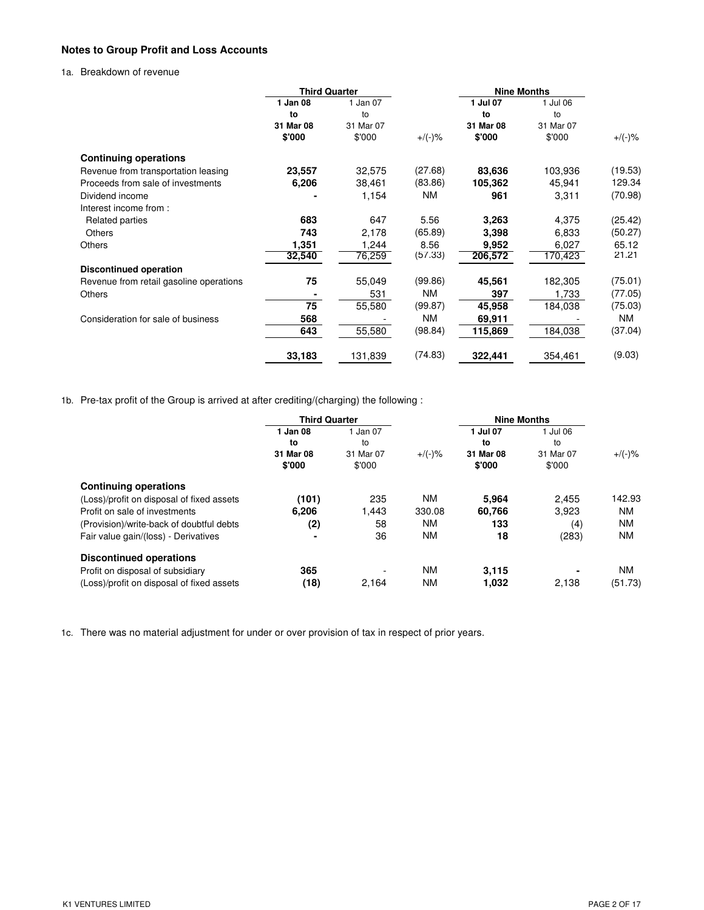## **Notes to Group Profit and Loss Accounts**

1a. Breakdown of revenue

|                                         | <b>Third Quarter</b> |           |           | <b>Nine Months</b> |           |         |
|-----------------------------------------|----------------------|-----------|-----------|--------------------|-----------|---------|
|                                         | 1 Jan 08             | 1 Jan 07  |           | 1 Jul 07           | 1 Jul 06  |         |
|                                         | to                   | to        |           | to                 | to        |         |
|                                         | 31 Mar 08            | 31 Mar 07 |           | 31 Mar 08          | 31 Mar 07 |         |
|                                         | \$'000               | \$'000    | $+/(-)$ % | \$'000             | \$'000    | +/(-)%  |
| <b>Continuing operations</b>            |                      |           |           |                    |           |         |
| Revenue from transportation leasing     | 23,557               | 32,575    | (27.68)   | 83,636             | 103,936   | (19.53) |
| Proceeds from sale of investments       | 6,206                | 38,461    | (83.86)   | 105,362            | 45,941    | 129.34  |
| Dividend income                         |                      | 1,154     | ΝM        | 961                | 3,311     | (70.98) |
| Interest income from:                   |                      |           |           |                    |           |         |
| Related parties                         | 683                  | 647       | 5.56      | 3,263              | 4,375     | (25.42) |
| <b>Others</b>                           | 743                  | 2,178     | (65.89)   | 3,398              | 6,833     | (50.27) |
| <b>Others</b>                           | 1,351                | 1,244     | 8.56      | 9,952              | 6,027     | 65.12   |
|                                         | 32,540               | 76,259    | (57.33)   | 206,572            | 170,423   | 21.21   |
| <b>Discontinued operation</b>           |                      |           |           |                    |           |         |
| Revenue from retail gasoline operations | 75                   | 55,049    | (99.86)   | 45,561             | 182,305   | (75.01) |
| <b>Others</b>                           |                      | 531       | <b>NM</b> | 397                | 1,733     | (77.05) |
|                                         | 75                   | 55,580    | (99.87)   | 45,958             | 184,038   | (75.03) |
| Consideration for sale of business      | 568                  |           | NM        | 69,911             |           | ΝM      |
|                                         | 643                  | 55,580    | (98.84)   | 115,869            | 184,038   | (37.04) |
|                                         | 33,183               | 131,839   | (74.83)   | 322,441            | 354,461   | (9.03)  |

1b. Pre-tax profit of the Group is arrived at after crediting/(charging) the following :

|                                           | <b>Third Quarter</b> |           |           | <b>Nine Months</b> |                |         |
|-------------------------------------------|----------------------|-----------|-----------|--------------------|----------------|---------|
|                                           | 1 Jan 08             | Jan 07    |           | 1 Jul 07           | 1 Jul 06       |         |
|                                           | to                   | to        |           | to                 | to             |         |
|                                           | 31 Mar 08            | 31 Mar 07 | $+/(-)$ % | 31 Mar 08          | 31 Mar 07      | +/(-)%  |
|                                           | \$'000               | \$'000    |           | \$'000             | \$'000         |         |
| <b>Continuing operations</b>              |                      |           |           |                    |                |         |
| (Loss)/profit on disposal of fixed assets | (101)                | 235       | <b>NM</b> | 5.964              | 2.455          | 142.93  |
| Profit on sale of investments             | 6,206                | 1.443     | 330.08    | 60.766             | 3,923          | NM      |
| (Provision)/write-back of doubtful debts  | (2)                  | 58        | <b>NM</b> | 133                | (4)            | NM      |
| Fair value gain/(loss) - Derivatives      | ۰                    | 36        | <b>NM</b> | 18                 | (283)          | NM      |
| <b>Discontinued operations</b>            |                      |           |           |                    |                |         |
| Profit on disposal of subsidiary          | 365                  |           | <b>NM</b> | 3.115              | $\blacksquare$ | NM      |
| (Loss)/profit on disposal of fixed assets | (18)                 | 2.164     | <b>NM</b> | 1.032              | 2.138          | (51.73) |

1c. There was no material adjustment for under or over provision of tax in respect of prior years.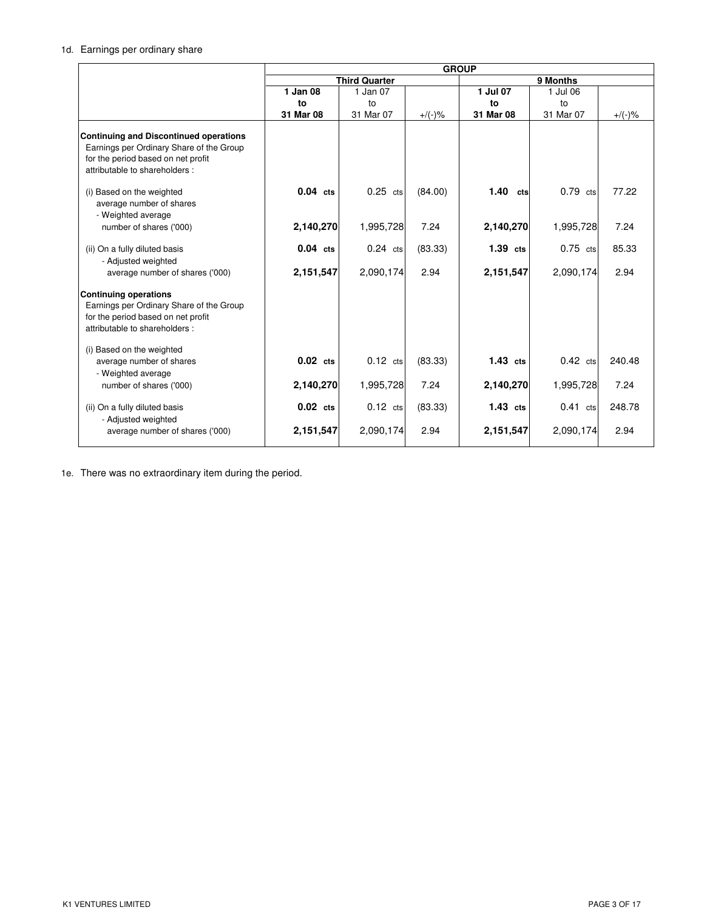## 1d. Earnings per ordinary share

|                                                                                                                                                                   | <b>GROUP</b>            |                         |                 |                         |                         |                |
|-------------------------------------------------------------------------------------------------------------------------------------------------------------------|-------------------------|-------------------------|-----------------|-------------------------|-------------------------|----------------|
|                                                                                                                                                                   |                         | <b>Third Quarter</b>    |                 | 9 Months                |                         |                |
|                                                                                                                                                                   | 1 Jan 08                | 1 Jan 07                |                 | 1 Jul 07                | 1 Jul 06                |                |
|                                                                                                                                                                   | to                      | to                      |                 | to                      | to                      |                |
|                                                                                                                                                                   | 31 Mar 08               | 31 Mar 07               | $+/(-)$ %       | 31 Mar 08               | 31 Mar 07               | $+/(-)$ %      |
| <b>Continuing and Discontinued operations</b><br>Earnings per Ordinary Share of the Group<br>for the period based on net profit<br>attributable to shareholders : |                         |                         |                 |                         |                         |                |
| (i) Based on the weighted<br>average number of shares<br>- Weighted average                                                                                       | $0.04$ cts              | $0.25$ cts              | (84.00)         | 1.40<br>cts             | $0.79$ cts              | 77.22          |
| number of shares ('000)                                                                                                                                           | 2,140,270               | 1,995,728               | 7.24            | 2,140,270               | 1,995,728               | 7.24           |
| (ii) On a fully diluted basis<br>- Adjusted weighted<br>average number of shares ('000)                                                                           | $0.04$ cts<br>2,151,547 | $0.24$ cts<br>2,090,174 | (83.33)<br>2.94 | $1.39$ cts<br>2,151,547 | $0.75$ cts<br>2,090,174 | 85.33<br>2.94  |
| <b>Continuing operations</b><br>Earnings per Ordinary Share of the Group<br>for the period based on net profit<br>attributable to shareholders:                   |                         |                         |                 |                         |                         |                |
| (i) Based on the weighted<br>average number of shares<br>- Weighted average<br>number of shares ('000)                                                            | $0.02$ cts<br>2,140,270 | $0.12$ cts<br>1,995,728 | (83.33)<br>7.24 | $1.43$ cts<br>2,140,270 | $0.42$ cts<br>1,995,728 | 240.48<br>7.24 |
| (ii) On a fully diluted basis<br>- Adjusted weighted                                                                                                              | $0.02$ cts              | $0.12$ cts              | (83.33)         | $1.43$ cts              | $0.41$ cts              | 248.78         |
| average number of shares ('000)                                                                                                                                   | 2,151,547               | 2,090,174               | 2.94            | 2,151,547               | 2,090,174               | 2.94           |

1e. There was no extraordinary item during the period.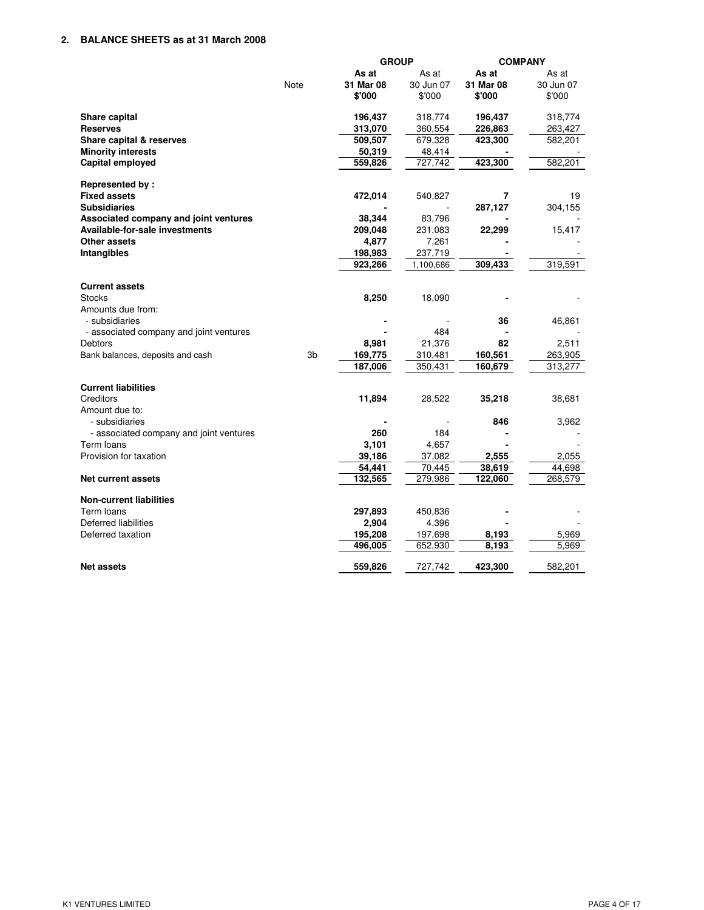|                                         |                | <b>GROUP</b> |           | <b>COMPANY</b> |           |
|-----------------------------------------|----------------|--------------|-----------|----------------|-----------|
|                                         |                | As at        | As at     | As at          | As at     |
|                                         | Note           | 31 Mar 08    | 30 Jun 07 | 31 Mar 08      | 30 Jun 07 |
|                                         |                | \$'000       | \$'000    | \$'000         | \$'000    |
| Share capital                           |                | 196,437      | 318,774   | 196,437        | 318,774   |
| <b>Reserves</b>                         |                | 313,070      | 360,554   | 226,863        | 263,427   |
| Share capital & reserves                |                | 509,507      | 679,328   | 423,300        | 582,201   |
| <b>Minority interests</b>               |                | 50,319       | 48,414    |                |           |
| Capital employed                        |                | 559,826      | 727,742   | 423,300        | 582,201   |
| Represented by:                         |                |              |           |                |           |
| <b>Fixed assets</b>                     |                | 472,014      | 540,827   | 7              | 19        |
| <b>Subsidiaries</b>                     |                |              |           | 287,127        | 304,155   |
| Associated company and joint ventures   |                | 38,344       | 83,796    |                |           |
| Available-for-sale investments          |                | 209,048      | 231,083   | 22,299         | 15,417    |
| Other assets                            |                | 4,877        | 7,261     |                |           |
| Intangibles                             |                | 198,983      | 237,719   |                |           |
|                                         |                | 923,266      | 1,100,686 | 309,433        | 319,591   |
| <b>Current assets</b>                   |                |              |           |                |           |
| <b>Stocks</b>                           |                | 8,250        | 18,090    |                |           |
| Amounts due from:                       |                |              |           |                |           |
| - subsidiaries                          |                |              |           | 36             | 46,861    |
| - associated company and joint ventures |                |              | 484       |                |           |
| <b>Debtors</b>                          |                | 8,981        | 21,376    | 82             | 2,511     |
| Bank balances, deposits and cash        | 3 <sub>b</sub> | 169,775      | 310,481   | 160,561        | 263,905   |
|                                         |                | 187,006      | 350,431   | 160,679        | 313,277   |
| <b>Current liabilities</b>              |                |              |           |                |           |
| Creditors                               |                | 11,894       | 28,522    | 35,218         | 38,681    |
| Amount due to:                          |                |              |           |                |           |
| - subsidiaries                          |                |              |           | 846            | 3,962     |
| - associated company and joint ventures |                | 260          | 184       |                |           |
| Term loans                              |                | 3,101        | 4,657     |                |           |
| Provision for taxation                  |                | 39,186       | 37,082    | 2,555          | 2,055     |
|                                         |                | 54,441       | 70,445    | 38,619         | 44,698    |
| <b>Net current assets</b>               |                | 132,565      | 279,986   | 122,060        | 268,579   |
| <b>Non-current liabilities</b>          |                |              |           |                |           |
| Term loans                              |                | 297,893      | 450,836   |                |           |
| Deferred liabilities                    |                | 2,904        | 4,396     |                |           |
| Deferred taxation                       |                | 195,208      | 197,698   | 8,193          | 5,969     |
|                                         |                | 496,005      | 652,930   | 8,193          | 5,969     |
| <b>Net assets</b>                       |                | 559,826      | 727,742   | 423,300        | 582,201   |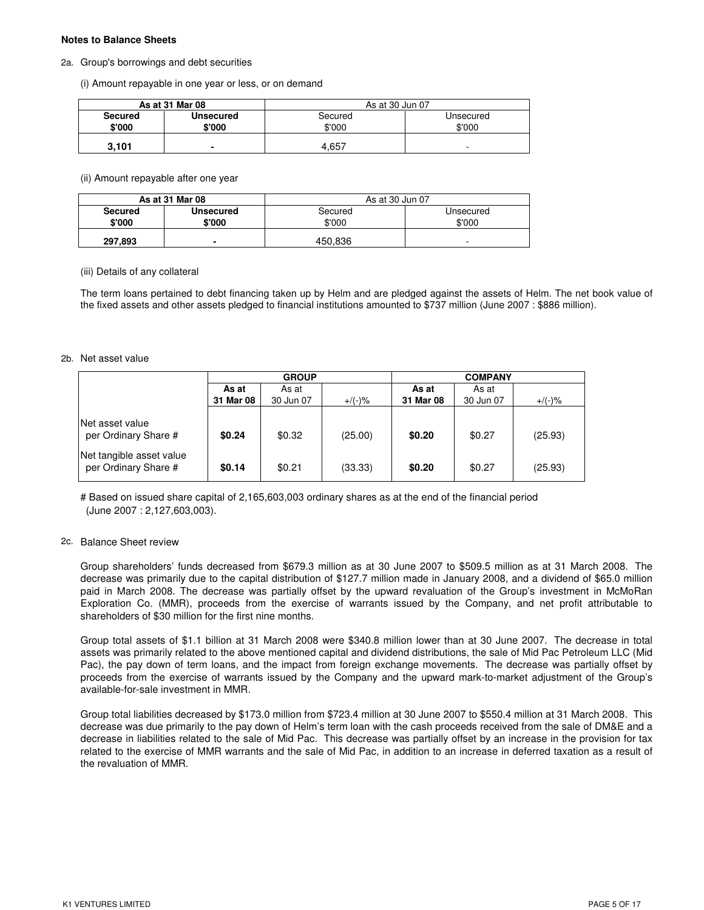#### **Notes to Balance Sheets**

#### 2a. Group's borrowings and debt securities

(i) Amount repayable in one year or less, or on demand

|                          | As at 31 Mar 08          | As at 30 Jun 07   |                     |  |  |
|--------------------------|--------------------------|-------------------|---------------------|--|--|
| <b>Secured</b><br>\$'000 | Unsecured<br>\$'000      | Secured<br>\$'000 | Unsecured<br>\$'000 |  |  |
| 3.101                    | $\overline{\phantom{0}}$ | 4.657             | -                   |  |  |

(ii) Amount repayable after one year

|                | As at 31 Mar 08  | As at 30 Jun 07 |           |  |  |
|----------------|------------------|-----------------|-----------|--|--|
| <b>Secured</b> | <b>Unsecured</b> | Secured         | Unsecured |  |  |
| \$'000         | \$'000           | \$'000          | \$'000    |  |  |
| 297,893        | $\blacksquare$   | 450.836         | -         |  |  |

(iii) Details of any collateral

The term loans pertained to debt financing taken up by Helm and are pledged against the assets of Helm. The net book value of the fixed assets and other assets pledged to financial institutions amounted to \$737 million (June 2007 : \$886 million).

#### 2b. Net asset value

|                                                                                              | <b>GROUP</b>     |                  |                    | <b>COMPANY</b>   |                  |                    |  |
|----------------------------------------------------------------------------------------------|------------------|------------------|--------------------|------------------|------------------|--------------------|--|
|                                                                                              | As at            | As at            |                    | As at            | As at            |                    |  |
|                                                                                              | 31 Mar 08        | 30 Jun 07        | $+/(-)$ %          | 31 Mar 08        | 30 Jun 07        | $+/(-)$ %          |  |
| lNet asset value<br>per Ordinary Share #<br>Net tangible asset value<br>per Ordinary Share # | \$0.24<br>\$0.14 | \$0.32<br>\$0.21 | (25.00)<br>(33.33) | \$0.20<br>\$0.20 | \$0.27<br>\$0.27 | (25.93)<br>(25.93) |  |
|                                                                                              |                  |                  |                    |                  |                  |                    |  |

# Based on issued share capital of 2,165,603,003 ordinary shares as at the end of the financial period (June 2007 : 2,127,603,003).

#### 2c. Balance Sheet review

Group shareholders' funds decreased from \$679.3 million as at 30 June 2007 to \$509.5 million as at 31 March 2008. The decrease was primarily due to the capital distribution of \$127.7 million made in January 2008, and a dividend of \$65.0 million paid in March 2008. The decrease was partially offset by the upward revaluation of the Group's investment in McMoRan Exploration Co. (MMR), proceeds from the exercise of warrants issued by the Company, and net profit attributable to shareholders of \$30 million for the first nine months.

Group total assets of \$1.1 billion at 31 March 2008 were \$340.8 million lower than at 30 June 2007. The decrease in total assets was primarily related to the above mentioned capital and dividend distributions, the sale of Mid Pac Petroleum LLC (Mid Pac), the pay down of term loans, and the impact from foreign exchange movements. The decrease was partially offset by proceeds from the exercise of warrants issued by the Company and the upward mark-to-market adjustment of the Group's available-for-sale investment in MMR.

Group total liabilities decreased by \$173.0 million from \$723.4 million at 30 June 2007 to \$550.4 million at 31 March 2008. This decrease was due primarily to the pay down of Helm's term loan with the cash proceeds received from the sale of DM&E and a decrease in liabilities related to the sale of Mid Pac. This decrease was partially offset by an increase in the provision for tax related to the exercise of MMR warrants and the sale of Mid Pac, in addition to an increase in deferred taxation as a result of the revaluation of MMR.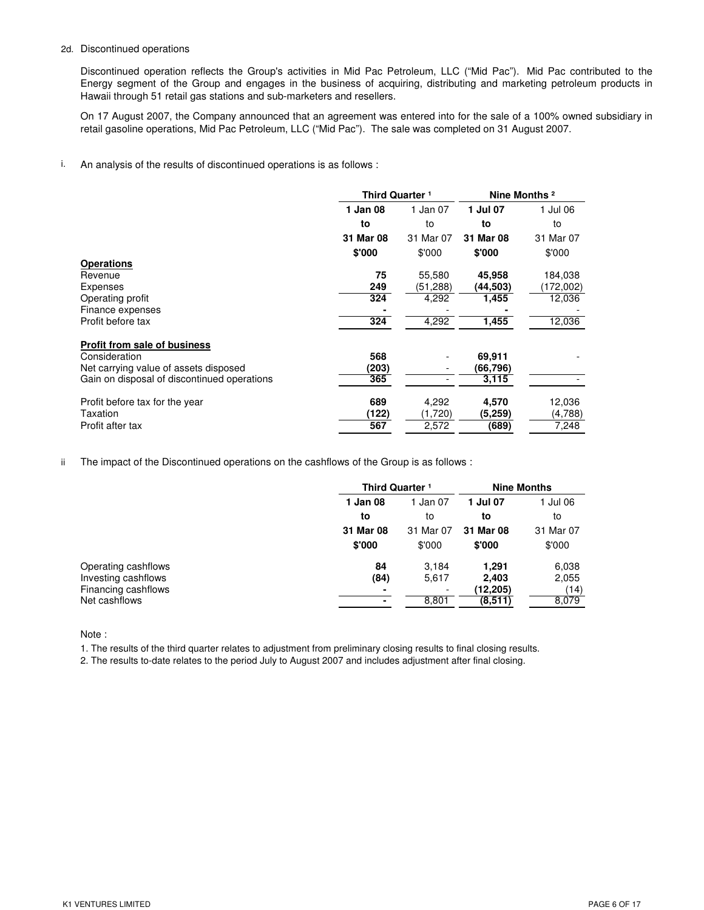### 2d. Discontinued operations

Discontinued operation reflects the Group's activities in Mid Pac Petroleum, LLC ("Mid Pac"). Mid Pac contributed to the Energy segment of the Group and engages in the business of acquiring, distributing and marketing petroleum products in Hawaii through 51 retail gas stations and sub-marketers and resellers.

On 17 August 2007, the Company announced that an agreement was entered into for the sale of a 100% owned subsidiary in retail gasoline operations, Mid Pac Petroleum, LLC ("Mid Pac"). The sale was completed on 31 August 2007.

i. An analysis of the results of discontinued operations is as follows :

|                                             |           | Third Quarter <sup>1</sup> |           | Nine Months <sup>2</sup> |
|---------------------------------------------|-----------|----------------------------|-----------|--------------------------|
|                                             | 1 Jan 08  | 1 Jan 07                   | 1 Jul 07  | 1 Jul 06                 |
|                                             | to        | to                         | to        | to                       |
|                                             | 31 Mar 08 | 31 Mar 07                  | 31 Mar 08 | 31 Mar 07                |
|                                             | \$'000    | \$'000                     | \$'000    | \$'000                   |
| <b>Operations</b>                           |           |                            |           |                          |
| Revenue                                     | 75        | 55,580                     | 45,958    | 184,038                  |
| Expenses                                    | 249       | (51,288)                   | (44,503)  | (172,002)                |
| Operating profit                            | 324       | 4,292                      | 1,455     | 12,036                   |
| Finance expenses                            |           |                            |           |                          |
| Profit before tax                           | 324       | 4,292                      | 1,455     | 12,036                   |
| <b>Profit from sale of business</b>         |           |                            |           |                          |
| Consideration                               | 568       |                            | 69,911    |                          |
| Net carrying value of assets disposed       | (203)     |                            | (66, 796) |                          |
| Gain on disposal of discontinued operations | 365       |                            | 3,115     |                          |
| Profit before tax for the year              | 689       | 4,292                      | 4,570     | 12,036                   |
| Taxation                                    | (122)     | (1,720)                    | (5,259)   | (4,788)                  |
| Profit after tax                            | 567       | 2,572                      | (689)     | 7,248                    |

ii The impact of the Discontinued operations on the cashflows of the Group is as follows :

|                     | Third Quarter <sup>1</sup> |           | <b>Nine Months</b> |           |
|---------------------|----------------------------|-----------|--------------------|-----------|
|                     | 1 Jan 08                   | 1 Jan 07  | 1 Jul 07           | 1 Jul 06  |
|                     | to                         | to        | to                 | to        |
|                     | 31 Mar 08                  | 31 Mar 07 | 31 Mar 08          | 31 Mar 07 |
|                     | \$'000                     | \$'000    | \$'000             | \$'000    |
| Operating cashflows | 84                         | 3.184     | 1.291              | 6,038     |
| Investing cashflows | (84)                       | 5,617     | 2,403              | 2,055     |
| Financing cashflows | -                          | ٠         | (12,205)           | (14)      |
| Net cashflows       |                            | 8,801     | (8,511)            | 8,079     |

Note :

1. The results of the third quarter relates to adjustment from preliminary closing results to final closing results.

2. The results to-date relates to the period July to August 2007 and includes adjustment after final closing.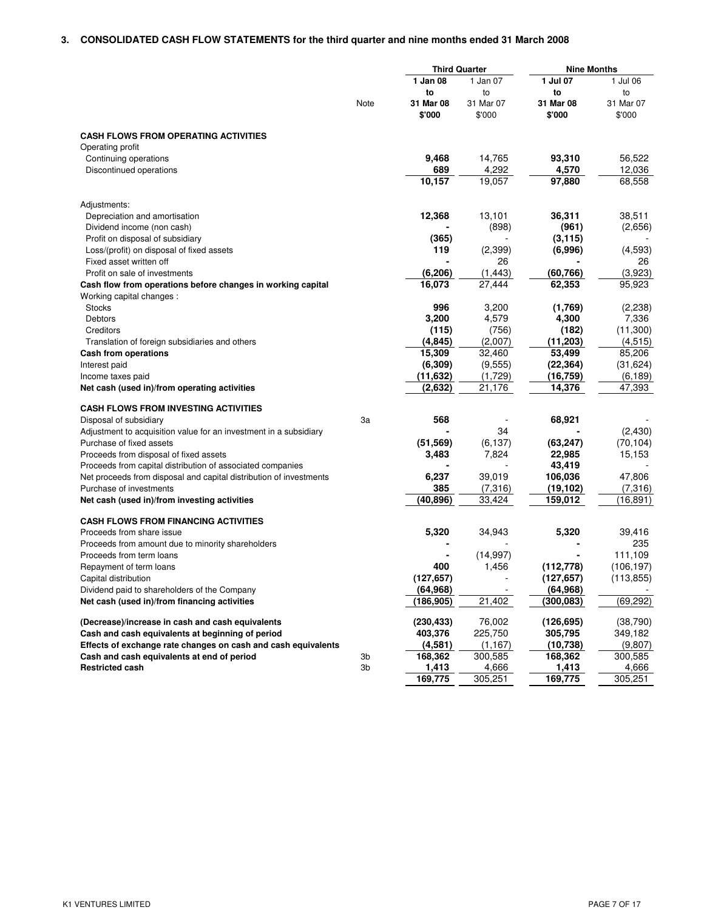## **3. CONSOLIDATED CASH FLOW STATEMENTS for the third quarter and nine months ended 31 March 2008**

| 1 Jan 08<br>1 Jul 07<br>1 Jan 07<br>1 Jul 06<br>to<br>to<br>to<br>to<br>Note<br>31 Mar 08<br>31 Mar 07<br>31 Mar 08<br>31 Mar 07<br>\$'000<br>\$'000<br>\$'000<br>\$'000<br><b>CASH FLOWS FROM OPERATING ACTIVITIES</b><br>Operating profit<br>9,468<br>14,765<br>93,310<br>56,522<br>Continuing operations<br>689<br>4,292<br>4,570<br>12,036<br>Discontinued operations<br>10,157<br>19,057<br>97,880<br>68,558<br>Adjustments:<br>12,368<br>13,101<br>36,311<br>38,511<br>Depreciation and amortisation<br>(898)<br>Dividend income (non cash)<br>(961)<br>(2,656)<br>(3, 115)<br>Profit on disposal of subsidiary<br>(365)<br>(2,399)<br>(6,996)<br>119<br>(4,593)<br>Loss/(profit) on disposal of fixed assets<br>26<br>Fixed asset written off<br>26<br>(6, 206)<br>(1, 443)<br>(60, 766)<br>(3,923)<br>Profit on sale of investments<br>16,073<br>27,444<br>62,353<br>95,923<br>Cash flow from operations before changes in working capital<br>Working capital changes:<br>996<br>3,200<br><b>Stocks</b><br>(1,769)<br>(2,238)<br>3,200<br>4,579<br>4,300<br>7,336<br>Debtors<br>(115)<br>(756)<br>(182)<br>(11,300)<br>Creditors<br>(4, 845)<br>(2,007)<br>(11, 203)<br>(4,515)<br>Translation of foreign subsidiaries and others<br>85,206<br>15,309<br>32,460<br>53,499<br>Cash from operations<br>(6, 309)<br>(31, 624)<br>(9,555)<br>(22, 364)<br>Interest paid<br>(11, 632)<br>(1,729)<br>(16, 759)<br>(6, 189)<br>Income taxes paid<br>(2,632)<br>21,176<br>14,376<br>47,393<br>Net cash (used in)/from operating activities<br><b>CASH FLOWS FROM INVESTING ACTIVITIES</b><br>568<br>68,921<br>3a<br>Disposal of subsidiary<br>34<br>(2,430)<br>Adjustment to acquisition value for an investment in a subsidiary<br>(51, 569)<br>(63, 247)<br>Purchase of fixed assets<br>(6,137)<br>(70, 104)<br>7,824<br>22,985<br>15,153<br>Proceeds from disposal of fixed assets<br>3,483<br>43,419<br>Proceeds from capital distribution of associated companies<br>6,237<br>39,019<br>106,036<br>47,806<br>Net proceeds from disposal and capital distribution of investments<br>385<br>Purchase of investments<br>(7,316)<br>(19, 102)<br>(7,316)<br>(40, 896)<br>33,424<br>(16, 891)<br>159,012<br>Net cash (used in)/from investing activities<br><b>CASH FLOWS FROM FINANCING ACTIVITIES</b><br>5,320<br>34,943<br>5,320<br>Proceeds from share issue<br>39,416<br>235<br>Proceeds from amount due to minority shareholders<br>(14, 997)<br>111,109<br>Proceeds from term loans<br>400<br>1,456<br>(112, 778)<br>(106, 197)<br>Repayment of term loans<br>(127, 657)<br>(113, 855)<br>(127, 657)<br>Capital distribution<br>(64, 968)<br>(64, 968)<br>Dividend paid to shareholders of the Company<br>21,402<br>(300, 083)<br>(69, 292)<br>Net cash (used in)/from financing activities<br>(186, 905)<br>(230, 433)<br>76,002<br>(126, 695)<br>(38,790)<br>(Decrease)/increase in cash and cash equivalents<br>Cash and cash equivalents at beginning of period<br>403,376<br>225,750<br>305,795<br>349,182<br>Effects of exchange rate changes on cash and cash equivalents<br>(4, 581)<br>(10, 738)<br>(1, 167)<br>(9,807)<br>Cash and cash equivalents at end of period<br>168,362<br>300,585<br>168,362<br>300,585<br>3b<br>1,413<br>1,413<br><b>Restricted cash</b><br>3b<br>4,666<br>4,666<br>305,251<br>169,775<br>305,251<br>169,775 |  | <b>Third Quarter</b> | <b>Nine Months</b> |  |
|---------------------------------------------------------------------------------------------------------------------------------------------------------------------------------------------------------------------------------------------------------------------------------------------------------------------------------------------------------------------------------------------------------------------------------------------------------------------------------------------------------------------------------------------------------------------------------------------------------------------------------------------------------------------------------------------------------------------------------------------------------------------------------------------------------------------------------------------------------------------------------------------------------------------------------------------------------------------------------------------------------------------------------------------------------------------------------------------------------------------------------------------------------------------------------------------------------------------------------------------------------------------------------------------------------------------------------------------------------------------------------------------------------------------------------------------------------------------------------------------------------------------------------------------------------------------------------------------------------------------------------------------------------------------------------------------------------------------------------------------------------------------------------------------------------------------------------------------------------------------------------------------------------------------------------------------------------------------------------------------------------------------------------------------------------------------------------------------------------------------------------------------------------------------------------------------------------------------------------------------------------------------------------------------------------------------------------------------------------------------------------------------------------------------------------------------------------------------------------------------------------------------------------------------------------------------------------------------------------------------------------------------------------------------------------------------------------------------------------------------------------------------------------------------------------------------------------------------------------------------------------------------------------------------------------------------------------------------------------------------------------------------------------------------------------------------------------------------------------------------------------------------------------------------------------------------------------------------------------------------------------------------------------------------------------------------------------------------------------|--|----------------------|--------------------|--|
|                                                                                                                                                                                                                                                                                                                                                                                                                                                                                                                                                                                                                                                                                                                                                                                                                                                                                                                                                                                                                                                                                                                                                                                                                                                                                                                                                                                                                                                                                                                                                                                                                                                                                                                                                                                                                                                                                                                                                                                                                                                                                                                                                                                                                                                                                                                                                                                                                                                                                                                                                                                                                                                                                                                                                                                                                                                                                                                                                                                                                                                                                                                                                                                                                                                                                                                                                         |  |                      |                    |  |
|                                                                                                                                                                                                                                                                                                                                                                                                                                                                                                                                                                                                                                                                                                                                                                                                                                                                                                                                                                                                                                                                                                                                                                                                                                                                                                                                                                                                                                                                                                                                                                                                                                                                                                                                                                                                                                                                                                                                                                                                                                                                                                                                                                                                                                                                                                                                                                                                                                                                                                                                                                                                                                                                                                                                                                                                                                                                                                                                                                                                                                                                                                                                                                                                                                                                                                                                                         |  |                      |                    |  |
|                                                                                                                                                                                                                                                                                                                                                                                                                                                                                                                                                                                                                                                                                                                                                                                                                                                                                                                                                                                                                                                                                                                                                                                                                                                                                                                                                                                                                                                                                                                                                                                                                                                                                                                                                                                                                                                                                                                                                                                                                                                                                                                                                                                                                                                                                                                                                                                                                                                                                                                                                                                                                                                                                                                                                                                                                                                                                                                                                                                                                                                                                                                                                                                                                                                                                                                                                         |  |                      |                    |  |
|                                                                                                                                                                                                                                                                                                                                                                                                                                                                                                                                                                                                                                                                                                                                                                                                                                                                                                                                                                                                                                                                                                                                                                                                                                                                                                                                                                                                                                                                                                                                                                                                                                                                                                                                                                                                                                                                                                                                                                                                                                                                                                                                                                                                                                                                                                                                                                                                                                                                                                                                                                                                                                                                                                                                                                                                                                                                                                                                                                                                                                                                                                                                                                                                                                                                                                                                                         |  |                      |                    |  |
|                                                                                                                                                                                                                                                                                                                                                                                                                                                                                                                                                                                                                                                                                                                                                                                                                                                                                                                                                                                                                                                                                                                                                                                                                                                                                                                                                                                                                                                                                                                                                                                                                                                                                                                                                                                                                                                                                                                                                                                                                                                                                                                                                                                                                                                                                                                                                                                                                                                                                                                                                                                                                                                                                                                                                                                                                                                                                                                                                                                                                                                                                                                                                                                                                                                                                                                                                         |  |                      |                    |  |
|                                                                                                                                                                                                                                                                                                                                                                                                                                                                                                                                                                                                                                                                                                                                                                                                                                                                                                                                                                                                                                                                                                                                                                                                                                                                                                                                                                                                                                                                                                                                                                                                                                                                                                                                                                                                                                                                                                                                                                                                                                                                                                                                                                                                                                                                                                                                                                                                                                                                                                                                                                                                                                                                                                                                                                                                                                                                                                                                                                                                                                                                                                                                                                                                                                                                                                                                                         |  |                      |                    |  |
|                                                                                                                                                                                                                                                                                                                                                                                                                                                                                                                                                                                                                                                                                                                                                                                                                                                                                                                                                                                                                                                                                                                                                                                                                                                                                                                                                                                                                                                                                                                                                                                                                                                                                                                                                                                                                                                                                                                                                                                                                                                                                                                                                                                                                                                                                                                                                                                                                                                                                                                                                                                                                                                                                                                                                                                                                                                                                                                                                                                                                                                                                                                                                                                                                                                                                                                                                         |  |                      |                    |  |
|                                                                                                                                                                                                                                                                                                                                                                                                                                                                                                                                                                                                                                                                                                                                                                                                                                                                                                                                                                                                                                                                                                                                                                                                                                                                                                                                                                                                                                                                                                                                                                                                                                                                                                                                                                                                                                                                                                                                                                                                                                                                                                                                                                                                                                                                                                                                                                                                                                                                                                                                                                                                                                                                                                                                                                                                                                                                                                                                                                                                                                                                                                                                                                                                                                                                                                                                                         |  |                      |                    |  |
|                                                                                                                                                                                                                                                                                                                                                                                                                                                                                                                                                                                                                                                                                                                                                                                                                                                                                                                                                                                                                                                                                                                                                                                                                                                                                                                                                                                                                                                                                                                                                                                                                                                                                                                                                                                                                                                                                                                                                                                                                                                                                                                                                                                                                                                                                                                                                                                                                                                                                                                                                                                                                                                                                                                                                                                                                                                                                                                                                                                                                                                                                                                                                                                                                                                                                                                                                         |  |                      |                    |  |
|                                                                                                                                                                                                                                                                                                                                                                                                                                                                                                                                                                                                                                                                                                                                                                                                                                                                                                                                                                                                                                                                                                                                                                                                                                                                                                                                                                                                                                                                                                                                                                                                                                                                                                                                                                                                                                                                                                                                                                                                                                                                                                                                                                                                                                                                                                                                                                                                                                                                                                                                                                                                                                                                                                                                                                                                                                                                                                                                                                                                                                                                                                                                                                                                                                                                                                                                                         |  |                      |                    |  |
|                                                                                                                                                                                                                                                                                                                                                                                                                                                                                                                                                                                                                                                                                                                                                                                                                                                                                                                                                                                                                                                                                                                                                                                                                                                                                                                                                                                                                                                                                                                                                                                                                                                                                                                                                                                                                                                                                                                                                                                                                                                                                                                                                                                                                                                                                                                                                                                                                                                                                                                                                                                                                                                                                                                                                                                                                                                                                                                                                                                                                                                                                                                                                                                                                                                                                                                                                         |  |                      |                    |  |
|                                                                                                                                                                                                                                                                                                                                                                                                                                                                                                                                                                                                                                                                                                                                                                                                                                                                                                                                                                                                                                                                                                                                                                                                                                                                                                                                                                                                                                                                                                                                                                                                                                                                                                                                                                                                                                                                                                                                                                                                                                                                                                                                                                                                                                                                                                                                                                                                                                                                                                                                                                                                                                                                                                                                                                                                                                                                                                                                                                                                                                                                                                                                                                                                                                                                                                                                                         |  |                      |                    |  |
|                                                                                                                                                                                                                                                                                                                                                                                                                                                                                                                                                                                                                                                                                                                                                                                                                                                                                                                                                                                                                                                                                                                                                                                                                                                                                                                                                                                                                                                                                                                                                                                                                                                                                                                                                                                                                                                                                                                                                                                                                                                                                                                                                                                                                                                                                                                                                                                                                                                                                                                                                                                                                                                                                                                                                                                                                                                                                                                                                                                                                                                                                                                                                                                                                                                                                                                                                         |  |                      |                    |  |
|                                                                                                                                                                                                                                                                                                                                                                                                                                                                                                                                                                                                                                                                                                                                                                                                                                                                                                                                                                                                                                                                                                                                                                                                                                                                                                                                                                                                                                                                                                                                                                                                                                                                                                                                                                                                                                                                                                                                                                                                                                                                                                                                                                                                                                                                                                                                                                                                                                                                                                                                                                                                                                                                                                                                                                                                                                                                                                                                                                                                                                                                                                                                                                                                                                                                                                                                                         |  |                      |                    |  |
|                                                                                                                                                                                                                                                                                                                                                                                                                                                                                                                                                                                                                                                                                                                                                                                                                                                                                                                                                                                                                                                                                                                                                                                                                                                                                                                                                                                                                                                                                                                                                                                                                                                                                                                                                                                                                                                                                                                                                                                                                                                                                                                                                                                                                                                                                                                                                                                                                                                                                                                                                                                                                                                                                                                                                                                                                                                                                                                                                                                                                                                                                                                                                                                                                                                                                                                                                         |  |                      |                    |  |
|                                                                                                                                                                                                                                                                                                                                                                                                                                                                                                                                                                                                                                                                                                                                                                                                                                                                                                                                                                                                                                                                                                                                                                                                                                                                                                                                                                                                                                                                                                                                                                                                                                                                                                                                                                                                                                                                                                                                                                                                                                                                                                                                                                                                                                                                                                                                                                                                                                                                                                                                                                                                                                                                                                                                                                                                                                                                                                                                                                                                                                                                                                                                                                                                                                                                                                                                                         |  |                      |                    |  |
|                                                                                                                                                                                                                                                                                                                                                                                                                                                                                                                                                                                                                                                                                                                                                                                                                                                                                                                                                                                                                                                                                                                                                                                                                                                                                                                                                                                                                                                                                                                                                                                                                                                                                                                                                                                                                                                                                                                                                                                                                                                                                                                                                                                                                                                                                                                                                                                                                                                                                                                                                                                                                                                                                                                                                                                                                                                                                                                                                                                                                                                                                                                                                                                                                                                                                                                                                         |  |                      |                    |  |
|                                                                                                                                                                                                                                                                                                                                                                                                                                                                                                                                                                                                                                                                                                                                                                                                                                                                                                                                                                                                                                                                                                                                                                                                                                                                                                                                                                                                                                                                                                                                                                                                                                                                                                                                                                                                                                                                                                                                                                                                                                                                                                                                                                                                                                                                                                                                                                                                                                                                                                                                                                                                                                                                                                                                                                                                                                                                                                                                                                                                                                                                                                                                                                                                                                                                                                                                                         |  |                      |                    |  |
|                                                                                                                                                                                                                                                                                                                                                                                                                                                                                                                                                                                                                                                                                                                                                                                                                                                                                                                                                                                                                                                                                                                                                                                                                                                                                                                                                                                                                                                                                                                                                                                                                                                                                                                                                                                                                                                                                                                                                                                                                                                                                                                                                                                                                                                                                                                                                                                                                                                                                                                                                                                                                                                                                                                                                                                                                                                                                                                                                                                                                                                                                                                                                                                                                                                                                                                                                         |  |                      |                    |  |
|                                                                                                                                                                                                                                                                                                                                                                                                                                                                                                                                                                                                                                                                                                                                                                                                                                                                                                                                                                                                                                                                                                                                                                                                                                                                                                                                                                                                                                                                                                                                                                                                                                                                                                                                                                                                                                                                                                                                                                                                                                                                                                                                                                                                                                                                                                                                                                                                                                                                                                                                                                                                                                                                                                                                                                                                                                                                                                                                                                                                                                                                                                                                                                                                                                                                                                                                                         |  |                      |                    |  |
|                                                                                                                                                                                                                                                                                                                                                                                                                                                                                                                                                                                                                                                                                                                                                                                                                                                                                                                                                                                                                                                                                                                                                                                                                                                                                                                                                                                                                                                                                                                                                                                                                                                                                                                                                                                                                                                                                                                                                                                                                                                                                                                                                                                                                                                                                                                                                                                                                                                                                                                                                                                                                                                                                                                                                                                                                                                                                                                                                                                                                                                                                                                                                                                                                                                                                                                                                         |  |                      |                    |  |
|                                                                                                                                                                                                                                                                                                                                                                                                                                                                                                                                                                                                                                                                                                                                                                                                                                                                                                                                                                                                                                                                                                                                                                                                                                                                                                                                                                                                                                                                                                                                                                                                                                                                                                                                                                                                                                                                                                                                                                                                                                                                                                                                                                                                                                                                                                                                                                                                                                                                                                                                                                                                                                                                                                                                                                                                                                                                                                                                                                                                                                                                                                                                                                                                                                                                                                                                                         |  |                      |                    |  |
|                                                                                                                                                                                                                                                                                                                                                                                                                                                                                                                                                                                                                                                                                                                                                                                                                                                                                                                                                                                                                                                                                                                                                                                                                                                                                                                                                                                                                                                                                                                                                                                                                                                                                                                                                                                                                                                                                                                                                                                                                                                                                                                                                                                                                                                                                                                                                                                                                                                                                                                                                                                                                                                                                                                                                                                                                                                                                                                                                                                                                                                                                                                                                                                                                                                                                                                                                         |  |                      |                    |  |
|                                                                                                                                                                                                                                                                                                                                                                                                                                                                                                                                                                                                                                                                                                                                                                                                                                                                                                                                                                                                                                                                                                                                                                                                                                                                                                                                                                                                                                                                                                                                                                                                                                                                                                                                                                                                                                                                                                                                                                                                                                                                                                                                                                                                                                                                                                                                                                                                                                                                                                                                                                                                                                                                                                                                                                                                                                                                                                                                                                                                                                                                                                                                                                                                                                                                                                                                                         |  |                      |                    |  |
|                                                                                                                                                                                                                                                                                                                                                                                                                                                                                                                                                                                                                                                                                                                                                                                                                                                                                                                                                                                                                                                                                                                                                                                                                                                                                                                                                                                                                                                                                                                                                                                                                                                                                                                                                                                                                                                                                                                                                                                                                                                                                                                                                                                                                                                                                                                                                                                                                                                                                                                                                                                                                                                                                                                                                                                                                                                                                                                                                                                                                                                                                                                                                                                                                                                                                                                                                         |  |                      |                    |  |
|                                                                                                                                                                                                                                                                                                                                                                                                                                                                                                                                                                                                                                                                                                                                                                                                                                                                                                                                                                                                                                                                                                                                                                                                                                                                                                                                                                                                                                                                                                                                                                                                                                                                                                                                                                                                                                                                                                                                                                                                                                                                                                                                                                                                                                                                                                                                                                                                                                                                                                                                                                                                                                                                                                                                                                                                                                                                                                                                                                                                                                                                                                                                                                                                                                                                                                                                                         |  |                      |                    |  |
|                                                                                                                                                                                                                                                                                                                                                                                                                                                                                                                                                                                                                                                                                                                                                                                                                                                                                                                                                                                                                                                                                                                                                                                                                                                                                                                                                                                                                                                                                                                                                                                                                                                                                                                                                                                                                                                                                                                                                                                                                                                                                                                                                                                                                                                                                                                                                                                                                                                                                                                                                                                                                                                                                                                                                                                                                                                                                                                                                                                                                                                                                                                                                                                                                                                                                                                                                         |  |                      |                    |  |
|                                                                                                                                                                                                                                                                                                                                                                                                                                                                                                                                                                                                                                                                                                                                                                                                                                                                                                                                                                                                                                                                                                                                                                                                                                                                                                                                                                                                                                                                                                                                                                                                                                                                                                                                                                                                                                                                                                                                                                                                                                                                                                                                                                                                                                                                                                                                                                                                                                                                                                                                                                                                                                                                                                                                                                                                                                                                                                                                                                                                                                                                                                                                                                                                                                                                                                                                                         |  |                      |                    |  |
|                                                                                                                                                                                                                                                                                                                                                                                                                                                                                                                                                                                                                                                                                                                                                                                                                                                                                                                                                                                                                                                                                                                                                                                                                                                                                                                                                                                                                                                                                                                                                                                                                                                                                                                                                                                                                                                                                                                                                                                                                                                                                                                                                                                                                                                                                                                                                                                                                                                                                                                                                                                                                                                                                                                                                                                                                                                                                                                                                                                                                                                                                                                                                                                                                                                                                                                                                         |  |                      |                    |  |
|                                                                                                                                                                                                                                                                                                                                                                                                                                                                                                                                                                                                                                                                                                                                                                                                                                                                                                                                                                                                                                                                                                                                                                                                                                                                                                                                                                                                                                                                                                                                                                                                                                                                                                                                                                                                                                                                                                                                                                                                                                                                                                                                                                                                                                                                                                                                                                                                                                                                                                                                                                                                                                                                                                                                                                                                                                                                                                                                                                                                                                                                                                                                                                                                                                                                                                                                                         |  |                      |                    |  |
|                                                                                                                                                                                                                                                                                                                                                                                                                                                                                                                                                                                                                                                                                                                                                                                                                                                                                                                                                                                                                                                                                                                                                                                                                                                                                                                                                                                                                                                                                                                                                                                                                                                                                                                                                                                                                                                                                                                                                                                                                                                                                                                                                                                                                                                                                                                                                                                                                                                                                                                                                                                                                                                                                                                                                                                                                                                                                                                                                                                                                                                                                                                                                                                                                                                                                                                                                         |  |                      |                    |  |
|                                                                                                                                                                                                                                                                                                                                                                                                                                                                                                                                                                                                                                                                                                                                                                                                                                                                                                                                                                                                                                                                                                                                                                                                                                                                                                                                                                                                                                                                                                                                                                                                                                                                                                                                                                                                                                                                                                                                                                                                                                                                                                                                                                                                                                                                                                                                                                                                                                                                                                                                                                                                                                                                                                                                                                                                                                                                                                                                                                                                                                                                                                                                                                                                                                                                                                                                                         |  |                      |                    |  |
|                                                                                                                                                                                                                                                                                                                                                                                                                                                                                                                                                                                                                                                                                                                                                                                                                                                                                                                                                                                                                                                                                                                                                                                                                                                                                                                                                                                                                                                                                                                                                                                                                                                                                                                                                                                                                                                                                                                                                                                                                                                                                                                                                                                                                                                                                                                                                                                                                                                                                                                                                                                                                                                                                                                                                                                                                                                                                                                                                                                                                                                                                                                                                                                                                                                                                                                                                         |  |                      |                    |  |
|                                                                                                                                                                                                                                                                                                                                                                                                                                                                                                                                                                                                                                                                                                                                                                                                                                                                                                                                                                                                                                                                                                                                                                                                                                                                                                                                                                                                                                                                                                                                                                                                                                                                                                                                                                                                                                                                                                                                                                                                                                                                                                                                                                                                                                                                                                                                                                                                                                                                                                                                                                                                                                                                                                                                                                                                                                                                                                                                                                                                                                                                                                                                                                                                                                                                                                                                                         |  |                      |                    |  |
|                                                                                                                                                                                                                                                                                                                                                                                                                                                                                                                                                                                                                                                                                                                                                                                                                                                                                                                                                                                                                                                                                                                                                                                                                                                                                                                                                                                                                                                                                                                                                                                                                                                                                                                                                                                                                                                                                                                                                                                                                                                                                                                                                                                                                                                                                                                                                                                                                                                                                                                                                                                                                                                                                                                                                                                                                                                                                                                                                                                                                                                                                                                                                                                                                                                                                                                                                         |  |                      |                    |  |
|                                                                                                                                                                                                                                                                                                                                                                                                                                                                                                                                                                                                                                                                                                                                                                                                                                                                                                                                                                                                                                                                                                                                                                                                                                                                                                                                                                                                                                                                                                                                                                                                                                                                                                                                                                                                                                                                                                                                                                                                                                                                                                                                                                                                                                                                                                                                                                                                                                                                                                                                                                                                                                                                                                                                                                                                                                                                                                                                                                                                                                                                                                                                                                                                                                                                                                                                                         |  |                      |                    |  |
|                                                                                                                                                                                                                                                                                                                                                                                                                                                                                                                                                                                                                                                                                                                                                                                                                                                                                                                                                                                                                                                                                                                                                                                                                                                                                                                                                                                                                                                                                                                                                                                                                                                                                                                                                                                                                                                                                                                                                                                                                                                                                                                                                                                                                                                                                                                                                                                                                                                                                                                                                                                                                                                                                                                                                                                                                                                                                                                                                                                                                                                                                                                                                                                                                                                                                                                                                         |  |                      |                    |  |
|                                                                                                                                                                                                                                                                                                                                                                                                                                                                                                                                                                                                                                                                                                                                                                                                                                                                                                                                                                                                                                                                                                                                                                                                                                                                                                                                                                                                                                                                                                                                                                                                                                                                                                                                                                                                                                                                                                                                                                                                                                                                                                                                                                                                                                                                                                                                                                                                                                                                                                                                                                                                                                                                                                                                                                                                                                                                                                                                                                                                                                                                                                                                                                                                                                                                                                                                                         |  |                      |                    |  |
|                                                                                                                                                                                                                                                                                                                                                                                                                                                                                                                                                                                                                                                                                                                                                                                                                                                                                                                                                                                                                                                                                                                                                                                                                                                                                                                                                                                                                                                                                                                                                                                                                                                                                                                                                                                                                                                                                                                                                                                                                                                                                                                                                                                                                                                                                                                                                                                                                                                                                                                                                                                                                                                                                                                                                                                                                                                                                                                                                                                                                                                                                                                                                                                                                                                                                                                                                         |  |                      |                    |  |
|                                                                                                                                                                                                                                                                                                                                                                                                                                                                                                                                                                                                                                                                                                                                                                                                                                                                                                                                                                                                                                                                                                                                                                                                                                                                                                                                                                                                                                                                                                                                                                                                                                                                                                                                                                                                                                                                                                                                                                                                                                                                                                                                                                                                                                                                                                                                                                                                                                                                                                                                                                                                                                                                                                                                                                                                                                                                                                                                                                                                                                                                                                                                                                                                                                                                                                                                                         |  |                      |                    |  |
|                                                                                                                                                                                                                                                                                                                                                                                                                                                                                                                                                                                                                                                                                                                                                                                                                                                                                                                                                                                                                                                                                                                                                                                                                                                                                                                                                                                                                                                                                                                                                                                                                                                                                                                                                                                                                                                                                                                                                                                                                                                                                                                                                                                                                                                                                                                                                                                                                                                                                                                                                                                                                                                                                                                                                                                                                                                                                                                                                                                                                                                                                                                                                                                                                                                                                                                                                         |  |                      |                    |  |
|                                                                                                                                                                                                                                                                                                                                                                                                                                                                                                                                                                                                                                                                                                                                                                                                                                                                                                                                                                                                                                                                                                                                                                                                                                                                                                                                                                                                                                                                                                                                                                                                                                                                                                                                                                                                                                                                                                                                                                                                                                                                                                                                                                                                                                                                                                                                                                                                                                                                                                                                                                                                                                                                                                                                                                                                                                                                                                                                                                                                                                                                                                                                                                                                                                                                                                                                                         |  |                      |                    |  |
|                                                                                                                                                                                                                                                                                                                                                                                                                                                                                                                                                                                                                                                                                                                                                                                                                                                                                                                                                                                                                                                                                                                                                                                                                                                                                                                                                                                                                                                                                                                                                                                                                                                                                                                                                                                                                                                                                                                                                                                                                                                                                                                                                                                                                                                                                                                                                                                                                                                                                                                                                                                                                                                                                                                                                                                                                                                                                                                                                                                                                                                                                                                                                                                                                                                                                                                                                         |  |                      |                    |  |
|                                                                                                                                                                                                                                                                                                                                                                                                                                                                                                                                                                                                                                                                                                                                                                                                                                                                                                                                                                                                                                                                                                                                                                                                                                                                                                                                                                                                                                                                                                                                                                                                                                                                                                                                                                                                                                                                                                                                                                                                                                                                                                                                                                                                                                                                                                                                                                                                                                                                                                                                                                                                                                                                                                                                                                                                                                                                                                                                                                                                                                                                                                                                                                                                                                                                                                                                                         |  |                      |                    |  |
|                                                                                                                                                                                                                                                                                                                                                                                                                                                                                                                                                                                                                                                                                                                                                                                                                                                                                                                                                                                                                                                                                                                                                                                                                                                                                                                                                                                                                                                                                                                                                                                                                                                                                                                                                                                                                                                                                                                                                                                                                                                                                                                                                                                                                                                                                                                                                                                                                                                                                                                                                                                                                                                                                                                                                                                                                                                                                                                                                                                                                                                                                                                                                                                                                                                                                                                                                         |  |                      |                    |  |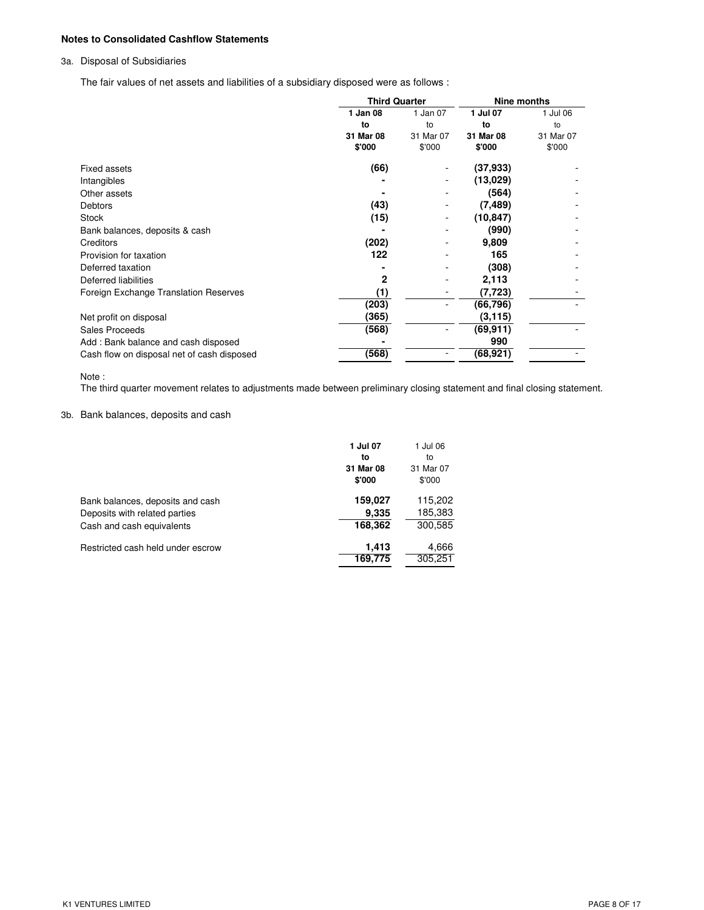### **Notes to Consolidated Cashflow Statements**

## 3a. Disposal of Subsidiaries

The fair values of net assets and liabilities of a subsidiary disposed were as follows :

|                                            | <b>Third Quarter</b> |           | Nine months |           |
|--------------------------------------------|----------------------|-----------|-------------|-----------|
|                                            | 1 Jan 08             | 1 Jan 07  | 1 Jul 07    | 1 Jul 06  |
|                                            | to                   | to        | to          | to        |
|                                            | 31 Mar 08            | 31 Mar 07 | 31 Mar 08   | 31 Mar 07 |
|                                            | \$'000               | \$'000    | \$'000      | \$'000    |
| <b>Fixed assets</b>                        | (66)                 |           | (37, 933)   |           |
| Intangibles                                |                      |           | (13,029)    |           |
| Other assets                               |                      |           | (564)       |           |
| <b>Debtors</b>                             | (43)                 | -         | (7, 489)    |           |
| <b>Stock</b>                               | (15)                 | -         | (10,847)    |           |
| Bank balances, deposits & cash             |                      |           | (990)       |           |
| <b>Creditors</b>                           | (202)                |           | 9,809       |           |
| Provision for taxation                     | 122                  |           | 165         |           |
| Deferred taxation                          |                      |           | (308)       |           |
| Deferred liabilities                       | 2                    |           | 2,113       |           |
| Foreign Exchange Translation Reserves      | (1)                  | -         | (7, 723)    |           |
|                                            | (203)                |           | (66,796)    |           |
| Net profit on disposal                     | (365)                |           | (3, 115)    |           |
| Sales Proceeds                             | (568)                |           | (69,911)    |           |
| Add: Bank balance and cash disposed        |                      |           | 990         |           |
| Cash flow on disposal net of cash disposed | (568)                |           | (68,921)    |           |

#### Note :

The third quarter movement relates to adjustments made between preliminary closing statement and final closing statement.

### 3b. Bank balances, deposits and cash

|                                                                                                | 1 Jul 07<br>to<br>31 Mar 08<br>\$'000 | 1 Jul 06<br>to<br>31 Mar 07<br>\$'000 |
|------------------------------------------------------------------------------------------------|---------------------------------------|---------------------------------------|
| Bank balances, deposits and cash<br>Deposits with related parties<br>Cash and cash equivalents | 159,027<br>9.335<br>168,362           | 115,202<br>185,383<br>300,585         |
| Restricted cash held under escrow                                                              | 1.413<br>169,775                      | 4,666<br>305,251                      |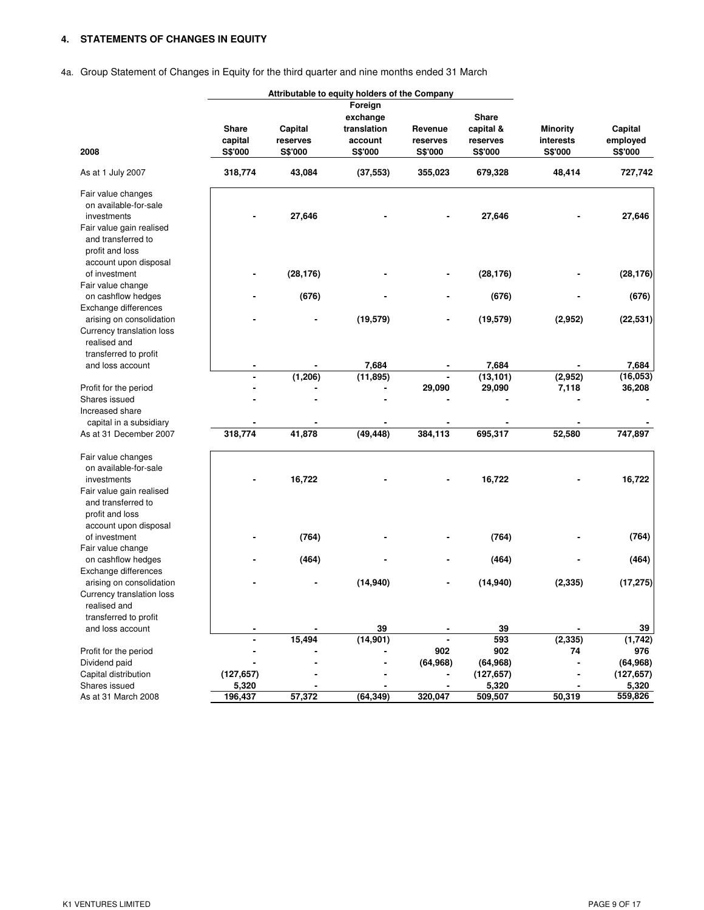## **4. STATEMENTS OF CHANGES IN EQUITY**

## 4a. Group Statement of Changes in Equity for the third quarter and nine months ended 31 March

| Foreign<br><b>Share</b><br>exchange<br>Share<br>Capital<br>translation<br>capital &<br><b>Minority</b><br>Capital<br>Revenue<br>capital<br>reserves<br>interests<br>employed<br>account<br>reserves<br>reserves<br>2008<br>S\$'000<br>S\$'000<br>S\$'000<br>S\$'000<br>S\$'000<br>S\$'000<br><b>S\$'000</b><br>318,774<br>43,084<br>679,328<br>48,414<br>727,742<br>As at 1 July 2007<br>(37, 553)<br>355,023<br>Fair value changes<br>on available-for-sale<br>27,646<br>27,646<br>27,646<br>investments<br>Fair value gain realised<br>and transferred to<br>profit and loss<br>account upon disposal<br>of investment<br>(28, 176)<br>(28, 176)<br>(28, 176)<br>Fair value change<br>(676)<br>on cashflow hedges<br>(676)<br>(676)<br>Exchange differences<br>(22, 531)<br>(19, 579)<br>(19, 579)<br>(2,952)<br>arising on consolidation<br>Currency translation loss<br>realised and<br>transferred to profit<br>7,684<br>7,684<br>7,684<br>and loss account<br>(1, 206)<br>(11, 895)<br>(2,952)<br>(13, 101)<br>(16, 053)<br>29,090<br>29,090<br>7,118<br>36,208<br>Profit for the period<br>Shares issued<br>Increased share<br>capital in a subsidiary<br>318,774<br>41,878<br>(49, 448)<br>384,113<br>695,317<br>52,580<br>747,897<br>As at 31 December 2007<br>Fair value changes<br>on available-for-sale<br>16,722<br>16,722<br>16,722<br>investments<br>Fair value gain realised<br>and transferred to<br>profit and loss<br>account upon disposal<br>(764)<br>(764)<br>of investment<br>(764)<br>Fair value change<br>(464)<br>on cashflow hedges<br>(464)<br>(464)<br>Exchange differences<br>(17, 275)<br>(14, 940)<br>(14, 940)<br>(2, 335)<br>arising on consolidation<br>Currency translation loss<br>realised and<br>transferred to profit<br>and loss account<br>39<br>39<br>39<br>15,494<br>(14, 901)<br>593<br>(2, 335)<br>(1, 742)<br>902<br>902<br>976<br>Profit for the period<br>74<br>(64, 968)<br>(64, 968)<br>Dividend paid<br>(64, 968)<br>Capital distribution<br>(127, 657)<br>(127, 657)<br>(127, 657)<br>Shares issued<br>5,320<br>5,320<br>5,320<br>57,372<br>50,319<br>559,826<br>As at 31 March 2008<br>196,437<br>(64, 349)<br>320,047<br>509,507 | Attributable to equity holders of the Company |  |  |  |  |  |  |
|-----------------------------------------------------------------------------------------------------------------------------------------------------------------------------------------------------------------------------------------------------------------------------------------------------------------------------------------------------------------------------------------------------------------------------------------------------------------------------------------------------------------------------------------------------------------------------------------------------------------------------------------------------------------------------------------------------------------------------------------------------------------------------------------------------------------------------------------------------------------------------------------------------------------------------------------------------------------------------------------------------------------------------------------------------------------------------------------------------------------------------------------------------------------------------------------------------------------------------------------------------------------------------------------------------------------------------------------------------------------------------------------------------------------------------------------------------------------------------------------------------------------------------------------------------------------------------------------------------------------------------------------------------------------------------------------------------------------------------------------------------------------------------------------------------------------------------------------------------------------------------------------------------------------------------------------------------------------------------------------------------------------------------------------------------------------------------------------------------------------------------------------------------------------------------------------|-----------------------------------------------|--|--|--|--|--|--|
|                                                                                                                                                                                                                                                                                                                                                                                                                                                                                                                                                                                                                                                                                                                                                                                                                                                                                                                                                                                                                                                                                                                                                                                                                                                                                                                                                                                                                                                                                                                                                                                                                                                                                                                                                                                                                                                                                                                                                                                                                                                                                                                                                                                         |                                               |  |  |  |  |  |  |
|                                                                                                                                                                                                                                                                                                                                                                                                                                                                                                                                                                                                                                                                                                                                                                                                                                                                                                                                                                                                                                                                                                                                                                                                                                                                                                                                                                                                                                                                                                                                                                                                                                                                                                                                                                                                                                                                                                                                                                                                                                                                                                                                                                                         |                                               |  |  |  |  |  |  |
|                                                                                                                                                                                                                                                                                                                                                                                                                                                                                                                                                                                                                                                                                                                                                                                                                                                                                                                                                                                                                                                                                                                                                                                                                                                                                                                                                                                                                                                                                                                                                                                                                                                                                                                                                                                                                                                                                                                                                                                                                                                                                                                                                                                         |                                               |  |  |  |  |  |  |
|                                                                                                                                                                                                                                                                                                                                                                                                                                                                                                                                                                                                                                                                                                                                                                                                                                                                                                                                                                                                                                                                                                                                                                                                                                                                                                                                                                                                                                                                                                                                                                                                                                                                                                                                                                                                                                                                                                                                                                                                                                                                                                                                                                                         |                                               |  |  |  |  |  |  |
|                                                                                                                                                                                                                                                                                                                                                                                                                                                                                                                                                                                                                                                                                                                                                                                                                                                                                                                                                                                                                                                                                                                                                                                                                                                                                                                                                                                                                                                                                                                                                                                                                                                                                                                                                                                                                                                                                                                                                                                                                                                                                                                                                                                         |                                               |  |  |  |  |  |  |
|                                                                                                                                                                                                                                                                                                                                                                                                                                                                                                                                                                                                                                                                                                                                                                                                                                                                                                                                                                                                                                                                                                                                                                                                                                                                                                                                                                                                                                                                                                                                                                                                                                                                                                                                                                                                                                                                                                                                                                                                                                                                                                                                                                                         |                                               |  |  |  |  |  |  |
|                                                                                                                                                                                                                                                                                                                                                                                                                                                                                                                                                                                                                                                                                                                                                                                                                                                                                                                                                                                                                                                                                                                                                                                                                                                                                                                                                                                                                                                                                                                                                                                                                                                                                                                                                                                                                                                                                                                                                                                                                                                                                                                                                                                         |                                               |  |  |  |  |  |  |
|                                                                                                                                                                                                                                                                                                                                                                                                                                                                                                                                                                                                                                                                                                                                                                                                                                                                                                                                                                                                                                                                                                                                                                                                                                                                                                                                                                                                                                                                                                                                                                                                                                                                                                                                                                                                                                                                                                                                                                                                                                                                                                                                                                                         |                                               |  |  |  |  |  |  |
|                                                                                                                                                                                                                                                                                                                                                                                                                                                                                                                                                                                                                                                                                                                                                                                                                                                                                                                                                                                                                                                                                                                                                                                                                                                                                                                                                                                                                                                                                                                                                                                                                                                                                                                                                                                                                                                                                                                                                                                                                                                                                                                                                                                         |                                               |  |  |  |  |  |  |
|                                                                                                                                                                                                                                                                                                                                                                                                                                                                                                                                                                                                                                                                                                                                                                                                                                                                                                                                                                                                                                                                                                                                                                                                                                                                                                                                                                                                                                                                                                                                                                                                                                                                                                                                                                                                                                                                                                                                                                                                                                                                                                                                                                                         |                                               |  |  |  |  |  |  |
|                                                                                                                                                                                                                                                                                                                                                                                                                                                                                                                                                                                                                                                                                                                                                                                                                                                                                                                                                                                                                                                                                                                                                                                                                                                                                                                                                                                                                                                                                                                                                                                                                                                                                                                                                                                                                                                                                                                                                                                                                                                                                                                                                                                         |                                               |  |  |  |  |  |  |
|                                                                                                                                                                                                                                                                                                                                                                                                                                                                                                                                                                                                                                                                                                                                                                                                                                                                                                                                                                                                                                                                                                                                                                                                                                                                                                                                                                                                                                                                                                                                                                                                                                                                                                                                                                                                                                                                                                                                                                                                                                                                                                                                                                                         |                                               |  |  |  |  |  |  |
|                                                                                                                                                                                                                                                                                                                                                                                                                                                                                                                                                                                                                                                                                                                                                                                                                                                                                                                                                                                                                                                                                                                                                                                                                                                                                                                                                                                                                                                                                                                                                                                                                                                                                                                                                                                                                                                                                                                                                                                                                                                                                                                                                                                         |                                               |  |  |  |  |  |  |
|                                                                                                                                                                                                                                                                                                                                                                                                                                                                                                                                                                                                                                                                                                                                                                                                                                                                                                                                                                                                                                                                                                                                                                                                                                                                                                                                                                                                                                                                                                                                                                                                                                                                                                                                                                                                                                                                                                                                                                                                                                                                                                                                                                                         |                                               |  |  |  |  |  |  |
|                                                                                                                                                                                                                                                                                                                                                                                                                                                                                                                                                                                                                                                                                                                                                                                                                                                                                                                                                                                                                                                                                                                                                                                                                                                                                                                                                                                                                                                                                                                                                                                                                                                                                                                                                                                                                                                                                                                                                                                                                                                                                                                                                                                         |                                               |  |  |  |  |  |  |
|                                                                                                                                                                                                                                                                                                                                                                                                                                                                                                                                                                                                                                                                                                                                                                                                                                                                                                                                                                                                                                                                                                                                                                                                                                                                                                                                                                                                                                                                                                                                                                                                                                                                                                                                                                                                                                                                                                                                                                                                                                                                                                                                                                                         |                                               |  |  |  |  |  |  |
|                                                                                                                                                                                                                                                                                                                                                                                                                                                                                                                                                                                                                                                                                                                                                                                                                                                                                                                                                                                                                                                                                                                                                                                                                                                                                                                                                                                                                                                                                                                                                                                                                                                                                                                                                                                                                                                                                                                                                                                                                                                                                                                                                                                         |                                               |  |  |  |  |  |  |
|                                                                                                                                                                                                                                                                                                                                                                                                                                                                                                                                                                                                                                                                                                                                                                                                                                                                                                                                                                                                                                                                                                                                                                                                                                                                                                                                                                                                                                                                                                                                                                                                                                                                                                                                                                                                                                                                                                                                                                                                                                                                                                                                                                                         |                                               |  |  |  |  |  |  |
|                                                                                                                                                                                                                                                                                                                                                                                                                                                                                                                                                                                                                                                                                                                                                                                                                                                                                                                                                                                                                                                                                                                                                                                                                                                                                                                                                                                                                                                                                                                                                                                                                                                                                                                                                                                                                                                                                                                                                                                                                                                                                                                                                                                         |                                               |  |  |  |  |  |  |
|                                                                                                                                                                                                                                                                                                                                                                                                                                                                                                                                                                                                                                                                                                                                                                                                                                                                                                                                                                                                                                                                                                                                                                                                                                                                                                                                                                                                                                                                                                                                                                                                                                                                                                                                                                                                                                                                                                                                                                                                                                                                                                                                                                                         |                                               |  |  |  |  |  |  |
|                                                                                                                                                                                                                                                                                                                                                                                                                                                                                                                                                                                                                                                                                                                                                                                                                                                                                                                                                                                                                                                                                                                                                                                                                                                                                                                                                                                                                                                                                                                                                                                                                                                                                                                                                                                                                                                                                                                                                                                                                                                                                                                                                                                         |                                               |  |  |  |  |  |  |
|                                                                                                                                                                                                                                                                                                                                                                                                                                                                                                                                                                                                                                                                                                                                                                                                                                                                                                                                                                                                                                                                                                                                                                                                                                                                                                                                                                                                                                                                                                                                                                                                                                                                                                                                                                                                                                                                                                                                                                                                                                                                                                                                                                                         |                                               |  |  |  |  |  |  |
|                                                                                                                                                                                                                                                                                                                                                                                                                                                                                                                                                                                                                                                                                                                                                                                                                                                                                                                                                                                                                                                                                                                                                                                                                                                                                                                                                                                                                                                                                                                                                                                                                                                                                                                                                                                                                                                                                                                                                                                                                                                                                                                                                                                         |                                               |  |  |  |  |  |  |
|                                                                                                                                                                                                                                                                                                                                                                                                                                                                                                                                                                                                                                                                                                                                                                                                                                                                                                                                                                                                                                                                                                                                                                                                                                                                                                                                                                                                                                                                                                                                                                                                                                                                                                                                                                                                                                                                                                                                                                                                                                                                                                                                                                                         |                                               |  |  |  |  |  |  |
|                                                                                                                                                                                                                                                                                                                                                                                                                                                                                                                                                                                                                                                                                                                                                                                                                                                                                                                                                                                                                                                                                                                                                                                                                                                                                                                                                                                                                                                                                                                                                                                                                                                                                                                                                                                                                                                                                                                                                                                                                                                                                                                                                                                         |                                               |  |  |  |  |  |  |
|                                                                                                                                                                                                                                                                                                                                                                                                                                                                                                                                                                                                                                                                                                                                                                                                                                                                                                                                                                                                                                                                                                                                                                                                                                                                                                                                                                                                                                                                                                                                                                                                                                                                                                                                                                                                                                                                                                                                                                                                                                                                                                                                                                                         |                                               |  |  |  |  |  |  |
|                                                                                                                                                                                                                                                                                                                                                                                                                                                                                                                                                                                                                                                                                                                                                                                                                                                                                                                                                                                                                                                                                                                                                                                                                                                                                                                                                                                                                                                                                                                                                                                                                                                                                                                                                                                                                                                                                                                                                                                                                                                                                                                                                                                         |                                               |  |  |  |  |  |  |
|                                                                                                                                                                                                                                                                                                                                                                                                                                                                                                                                                                                                                                                                                                                                                                                                                                                                                                                                                                                                                                                                                                                                                                                                                                                                                                                                                                                                                                                                                                                                                                                                                                                                                                                                                                                                                                                                                                                                                                                                                                                                                                                                                                                         |                                               |  |  |  |  |  |  |
|                                                                                                                                                                                                                                                                                                                                                                                                                                                                                                                                                                                                                                                                                                                                                                                                                                                                                                                                                                                                                                                                                                                                                                                                                                                                                                                                                                                                                                                                                                                                                                                                                                                                                                                                                                                                                                                                                                                                                                                                                                                                                                                                                                                         |                                               |  |  |  |  |  |  |
|                                                                                                                                                                                                                                                                                                                                                                                                                                                                                                                                                                                                                                                                                                                                                                                                                                                                                                                                                                                                                                                                                                                                                                                                                                                                                                                                                                                                                                                                                                                                                                                                                                                                                                                                                                                                                                                                                                                                                                                                                                                                                                                                                                                         |                                               |  |  |  |  |  |  |
|                                                                                                                                                                                                                                                                                                                                                                                                                                                                                                                                                                                                                                                                                                                                                                                                                                                                                                                                                                                                                                                                                                                                                                                                                                                                                                                                                                                                                                                                                                                                                                                                                                                                                                                                                                                                                                                                                                                                                                                                                                                                                                                                                                                         |                                               |  |  |  |  |  |  |
|                                                                                                                                                                                                                                                                                                                                                                                                                                                                                                                                                                                                                                                                                                                                                                                                                                                                                                                                                                                                                                                                                                                                                                                                                                                                                                                                                                                                                                                                                                                                                                                                                                                                                                                                                                                                                                                                                                                                                                                                                                                                                                                                                                                         |                                               |  |  |  |  |  |  |
|                                                                                                                                                                                                                                                                                                                                                                                                                                                                                                                                                                                                                                                                                                                                                                                                                                                                                                                                                                                                                                                                                                                                                                                                                                                                                                                                                                                                                                                                                                                                                                                                                                                                                                                                                                                                                                                                                                                                                                                                                                                                                                                                                                                         |                                               |  |  |  |  |  |  |
|                                                                                                                                                                                                                                                                                                                                                                                                                                                                                                                                                                                                                                                                                                                                                                                                                                                                                                                                                                                                                                                                                                                                                                                                                                                                                                                                                                                                                                                                                                                                                                                                                                                                                                                                                                                                                                                                                                                                                                                                                                                                                                                                                                                         |                                               |  |  |  |  |  |  |
|                                                                                                                                                                                                                                                                                                                                                                                                                                                                                                                                                                                                                                                                                                                                                                                                                                                                                                                                                                                                                                                                                                                                                                                                                                                                                                                                                                                                                                                                                                                                                                                                                                                                                                                                                                                                                                                                                                                                                                                                                                                                                                                                                                                         |                                               |  |  |  |  |  |  |
|                                                                                                                                                                                                                                                                                                                                                                                                                                                                                                                                                                                                                                                                                                                                                                                                                                                                                                                                                                                                                                                                                                                                                                                                                                                                                                                                                                                                                                                                                                                                                                                                                                                                                                                                                                                                                                                                                                                                                                                                                                                                                                                                                                                         |                                               |  |  |  |  |  |  |
|                                                                                                                                                                                                                                                                                                                                                                                                                                                                                                                                                                                                                                                                                                                                                                                                                                                                                                                                                                                                                                                                                                                                                                                                                                                                                                                                                                                                                                                                                                                                                                                                                                                                                                                                                                                                                                                                                                                                                                                                                                                                                                                                                                                         |                                               |  |  |  |  |  |  |
|                                                                                                                                                                                                                                                                                                                                                                                                                                                                                                                                                                                                                                                                                                                                                                                                                                                                                                                                                                                                                                                                                                                                                                                                                                                                                                                                                                                                                                                                                                                                                                                                                                                                                                                                                                                                                                                                                                                                                                                                                                                                                                                                                                                         |                                               |  |  |  |  |  |  |
|                                                                                                                                                                                                                                                                                                                                                                                                                                                                                                                                                                                                                                                                                                                                                                                                                                                                                                                                                                                                                                                                                                                                                                                                                                                                                                                                                                                                                                                                                                                                                                                                                                                                                                                                                                                                                                                                                                                                                                                                                                                                                                                                                                                         |                                               |  |  |  |  |  |  |
|                                                                                                                                                                                                                                                                                                                                                                                                                                                                                                                                                                                                                                                                                                                                                                                                                                                                                                                                                                                                                                                                                                                                                                                                                                                                                                                                                                                                                                                                                                                                                                                                                                                                                                                                                                                                                                                                                                                                                                                                                                                                                                                                                                                         |                                               |  |  |  |  |  |  |
|                                                                                                                                                                                                                                                                                                                                                                                                                                                                                                                                                                                                                                                                                                                                                                                                                                                                                                                                                                                                                                                                                                                                                                                                                                                                                                                                                                                                                                                                                                                                                                                                                                                                                                                                                                                                                                                                                                                                                                                                                                                                                                                                                                                         |                                               |  |  |  |  |  |  |
|                                                                                                                                                                                                                                                                                                                                                                                                                                                                                                                                                                                                                                                                                                                                                                                                                                                                                                                                                                                                                                                                                                                                                                                                                                                                                                                                                                                                                                                                                                                                                                                                                                                                                                                                                                                                                                                                                                                                                                                                                                                                                                                                                                                         |                                               |  |  |  |  |  |  |
|                                                                                                                                                                                                                                                                                                                                                                                                                                                                                                                                                                                                                                                                                                                                                                                                                                                                                                                                                                                                                                                                                                                                                                                                                                                                                                                                                                                                                                                                                                                                                                                                                                                                                                                                                                                                                                                                                                                                                                                                                                                                                                                                                                                         |                                               |  |  |  |  |  |  |
|                                                                                                                                                                                                                                                                                                                                                                                                                                                                                                                                                                                                                                                                                                                                                                                                                                                                                                                                                                                                                                                                                                                                                                                                                                                                                                                                                                                                                                                                                                                                                                                                                                                                                                                                                                                                                                                                                                                                                                                                                                                                                                                                                                                         |                                               |  |  |  |  |  |  |
|                                                                                                                                                                                                                                                                                                                                                                                                                                                                                                                                                                                                                                                                                                                                                                                                                                                                                                                                                                                                                                                                                                                                                                                                                                                                                                                                                                                                                                                                                                                                                                                                                                                                                                                                                                                                                                                                                                                                                                                                                                                                                                                                                                                         |                                               |  |  |  |  |  |  |
|                                                                                                                                                                                                                                                                                                                                                                                                                                                                                                                                                                                                                                                                                                                                                                                                                                                                                                                                                                                                                                                                                                                                                                                                                                                                                                                                                                                                                                                                                                                                                                                                                                                                                                                                                                                                                                                                                                                                                                                                                                                                                                                                                                                         |                                               |  |  |  |  |  |  |
|                                                                                                                                                                                                                                                                                                                                                                                                                                                                                                                                                                                                                                                                                                                                                                                                                                                                                                                                                                                                                                                                                                                                                                                                                                                                                                                                                                                                                                                                                                                                                                                                                                                                                                                                                                                                                                                                                                                                                                                                                                                                                                                                                                                         |                                               |  |  |  |  |  |  |
|                                                                                                                                                                                                                                                                                                                                                                                                                                                                                                                                                                                                                                                                                                                                                                                                                                                                                                                                                                                                                                                                                                                                                                                                                                                                                                                                                                                                                                                                                                                                                                                                                                                                                                                                                                                                                                                                                                                                                                                                                                                                                                                                                                                         |                                               |  |  |  |  |  |  |
|                                                                                                                                                                                                                                                                                                                                                                                                                                                                                                                                                                                                                                                                                                                                                                                                                                                                                                                                                                                                                                                                                                                                                                                                                                                                                                                                                                                                                                                                                                                                                                                                                                                                                                                                                                                                                                                                                                                                                                                                                                                                                                                                                                                         |                                               |  |  |  |  |  |  |
|                                                                                                                                                                                                                                                                                                                                                                                                                                                                                                                                                                                                                                                                                                                                                                                                                                                                                                                                                                                                                                                                                                                                                                                                                                                                                                                                                                                                                                                                                                                                                                                                                                                                                                                                                                                                                                                                                                                                                                                                                                                                                                                                                                                         |                                               |  |  |  |  |  |  |
|                                                                                                                                                                                                                                                                                                                                                                                                                                                                                                                                                                                                                                                                                                                                                                                                                                                                                                                                                                                                                                                                                                                                                                                                                                                                                                                                                                                                                                                                                                                                                                                                                                                                                                                                                                                                                                                                                                                                                                                                                                                                                                                                                                                         |                                               |  |  |  |  |  |  |
|                                                                                                                                                                                                                                                                                                                                                                                                                                                                                                                                                                                                                                                                                                                                                                                                                                                                                                                                                                                                                                                                                                                                                                                                                                                                                                                                                                                                                                                                                                                                                                                                                                                                                                                                                                                                                                                                                                                                                                                                                                                                                                                                                                                         |                                               |  |  |  |  |  |  |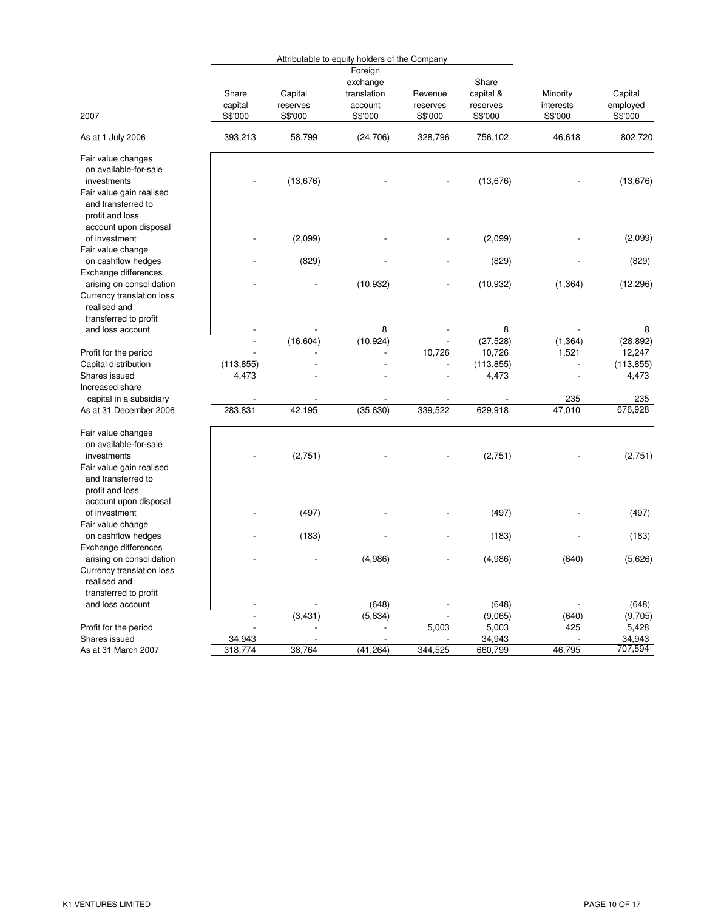|                                                                                                                                                          |                              |                     | Attributable to equity holders of the Company |                     |                                   |                       |                                   |
|----------------------------------------------------------------------------------------------------------------------------------------------------------|------------------------------|---------------------|-----------------------------------------------|---------------------|-----------------------------------|-----------------------|-----------------------------------|
|                                                                                                                                                          | Share<br>capital             | Capital<br>reserves | Foreign<br>exchange<br>translation<br>account | Revenue<br>reserves | Share<br>capital &<br>reserves    | Minority<br>interests | Capital<br>employed               |
| 2007                                                                                                                                                     | S\$'000                      | S\$'000             | S\$'000                                       | S\$'000             | S\$'000                           | S\$'000               | S\$'000                           |
| As at 1 July 2006                                                                                                                                        | 393,213                      | 58,799              | (24, 706)                                     | 328,796             | 756,102                           | 46,618                | 802,720                           |
| Fair value changes<br>on available-for-sale<br>investments<br>Fair value gain realised<br>and transferred to<br>profit and loss                          |                              | (13, 676)           |                                               |                     | (13, 676)                         |                       | (13,676)                          |
| account upon disposal<br>of investment                                                                                                                   |                              | (2,099)             |                                               |                     | (2,099)                           |                       | (2,099)                           |
| Fair value change<br>on cashflow hedges<br>Exchange differences                                                                                          |                              | (829)               |                                               |                     | (829)                             |                       | (829)                             |
| arising on consolidation<br>Currency translation loss<br>realised and<br>transferred to profit                                                           |                              |                     | (10, 932)                                     |                     | (10, 932)                         | (1, 364)              | (12, 296)                         |
| and loss account                                                                                                                                         |                              |                     | 8                                             |                     | 8                                 |                       | 8                                 |
| Profit for the period<br>Capital distribution                                                                                                            | $\blacksquare$<br>(113, 855) | (16, 604)           | (10, 924)                                     | 10,726              | (27, 528)<br>10,726<br>(113, 855) | (1, 364)<br>1,521     | (28, 892)<br>12,247<br>(113, 855) |
| Shares issued<br>Increased share                                                                                                                         | 4,473                        |                     |                                               |                     | 4,473                             |                       | 4,473                             |
| capital in a subsidiary                                                                                                                                  |                              |                     |                                               |                     |                                   | 235                   | 235                               |
| As at 31 December 2006                                                                                                                                   | 283,831                      | 42,195              | (35, 630)                                     | 339,522             | 629,918                           | 47,010                | 676,928                           |
| Fair value changes<br>on available-for-sale<br>investments<br>Fair value gain realised<br>and transferred to<br>profit and loss<br>account upon disposal |                              | (2,751)             |                                               |                     | (2,751)                           |                       | (2,751)                           |
| of investment<br>Fair value change                                                                                                                       |                              | (497)               |                                               |                     | (497)                             |                       | (497)                             |
| on cashflow hedges<br>Exchange differences                                                                                                               |                              | (183)               |                                               |                     | (183)                             |                       | (183)                             |
| arising on consolidation<br>Currency translation loss<br>realised and                                                                                    |                              |                     | (4,986)                                       |                     | (4,986)                           | (640)                 | (5,626)                           |
| transferred to profit<br>and loss account                                                                                                                | $\overline{\phantom{a}}$     |                     | (648)                                         |                     | (648)                             |                       | (648)                             |
|                                                                                                                                                          | $\overline{a}$               | (3, 431)            | (5,634)                                       |                     | (9,065)                           | (640)                 | (9,705)                           |
| Profit for the period                                                                                                                                    |                              |                     |                                               | 5,003               | 5,003                             | 425                   | 5,428                             |
| Shares issued                                                                                                                                            | 34,943                       |                     |                                               |                     | 34,943                            |                       | 34,943                            |
| As at 31 March 2007                                                                                                                                      | 318,774                      | 38,764              | (41, 264)                                     | 344,525             | 660,799                           | 46,795                | 707,594                           |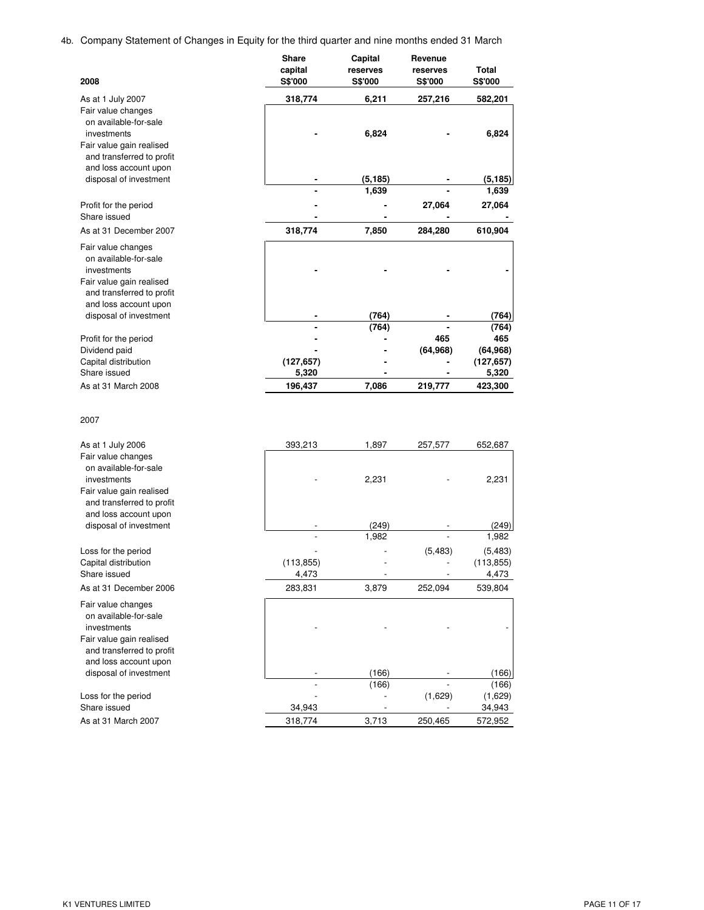4b. Company Statement of Changes in Equity for the third quarter and nine months ended 31 March

| 2008                                                                                                                                             | <b>Share</b><br>capital<br><b>S\$'000</b> | Capital<br>reserves<br>S\$'000 | Revenue<br>reserves<br>S\$'000 | Total<br>S\$'000 |
|--------------------------------------------------------------------------------------------------------------------------------------------------|-------------------------------------------|--------------------------------|--------------------------------|------------------|
| As at 1 July 2007                                                                                                                                | 318,774                                   | 6,211                          | 257,216                        | 582,201          |
| Fair value changes<br>on available-for-sale<br>investments<br>Fair value gain realised<br>and transferred to profit<br>and loss account upon     |                                           | 6,824                          |                                | 6,824            |
| disposal of investment                                                                                                                           |                                           | (5, 185)                       |                                | (5,185)          |
|                                                                                                                                                  |                                           | 1,639                          |                                | 1,639            |
| Profit for the period                                                                                                                            |                                           |                                | 27,064                         | 27,064           |
| Share issued<br>As at 31 December 2007                                                                                                           | 318,774                                   | 7,850                          | 284,280                        | 610,904          |
|                                                                                                                                                  |                                           |                                |                                |                  |
| Fair value changes<br>on available-for-sale<br>investments<br>Fair value gain realised<br>and transferred to profit<br>and loss account upon     |                                           |                                |                                |                  |
| disposal of investment                                                                                                                           |                                           | (764)                          |                                | (764)            |
| Profit for the period                                                                                                                            |                                           | (764)                          | 465                            | (764)<br>465     |
| Dividend paid                                                                                                                                    |                                           |                                | (64, 968)                      | (64, 968)        |
| Capital distribution<br>Share issued                                                                                                             | (127, 657)                                |                                |                                | (127, 657)       |
| As at 31 March 2008                                                                                                                              | 5,320<br>196,437                          | 7,086                          | 219,777                        | 5,320<br>423,300 |
| 2007                                                                                                                                             |                                           |                                |                                |                  |
| As at 1 July 2006                                                                                                                                | 393,213                                   | 1,897                          | 257,577                        | 652,687          |
| Fair value changes<br>on available-for-sale<br>investments<br>Fair value gain realised<br>and transferred to profit                              |                                           | 2,231                          |                                | 2,231            |
| and loss account upon<br>disposal of investment                                                                                                  |                                           | (249)                          |                                | (249)            |
|                                                                                                                                                  |                                           | 1,982                          |                                | 1,982            |
| Loss for the period                                                                                                                              |                                           |                                | (5,483)                        | (5, 483)         |
| Capital distribution                                                                                                                             | (113, 855)                                |                                | L,                             | (113, 855)       |
| Share issued<br>As at 31 December 2006                                                                                                           | 4,473<br>283,831                          | 3,879                          | 252,094                        | 4,473<br>539,804 |
| Fair value changes                                                                                                                               |                                           |                                |                                |                  |
| on available-for-sale<br>investments<br>Fair value gain realised<br>and transferred to profit<br>and loss account upon<br>disposal of investment |                                           | (166)                          |                                | (166)            |
|                                                                                                                                                  |                                           | (166)                          |                                | (166)            |
| Loss for the period                                                                                                                              |                                           |                                | (1,629)                        | (1,629)          |
| Share issued                                                                                                                                     | 34,943                                    |                                |                                | 34,943           |
| As at 31 March 2007                                                                                                                              | 318,774                                   | 3,713                          | 250,465                        | 572,952          |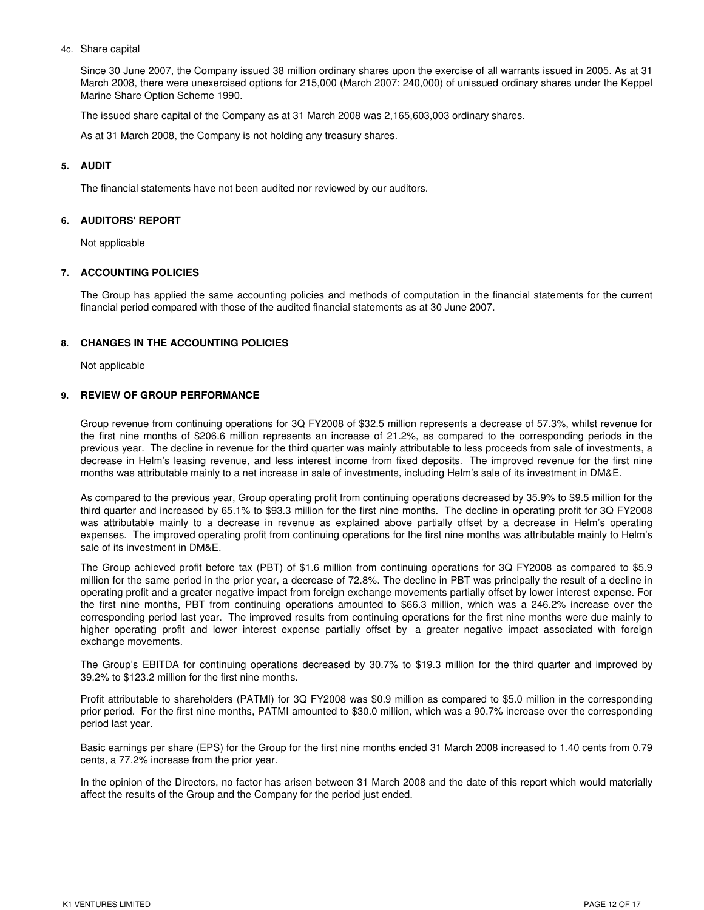### 4c. Share capital

Since 30 June 2007, the Company issued 38 million ordinary shares upon the exercise of all warrants issued in 2005. As at 31 March 2008, there were unexercised options for 215,000 (March 2007: 240,000) of unissued ordinary shares under the Keppel Marine Share Option Scheme 1990.

The issued share capital of the Company as at 31 March 2008 was 2,165,603,003 ordinary shares.

As at 31 March 2008, the Company is not holding any treasury shares.

### **5. AUDIT**

The financial statements have not been audited nor reviewed by our auditors.

#### **6. AUDITORS' REPORT**

Not applicable

### **7. ACCOUNTING POLICIES**

The Group has applied the same accounting policies and methods of computation in the financial statements for the current financial period compared with those of the audited financial statements as at 30 June 2007.

#### **8. CHANGES IN THE ACCOUNTING POLICIES**

Not applicable

### **9. REVIEW OF GROUP PERFORMANCE**

Group revenue from continuing operations for 3Q FY2008 of \$32.5 million represents a decrease of 57.3%, whilst revenue for the first nine months of \$206.6 million represents an increase of 21.2%, as compared to the corresponding periods in the previous year. The decline in revenue for the third quarter was mainly attributable to less proceeds from sale of investments, a decrease in Helm's leasing revenue, and less interest income from fixed deposits. The improved revenue for the first nine months was attributable mainly to a net increase in sale of investments, including Helm's sale of its investment in DM&E.

As compared to the previous year, Group operating profit from continuing operations decreased by 35.9% to \$9.5 million for the third quarter and increased by 65.1% to \$93.3 million for the first nine months. The decline in operating profit for 3Q FY2008 was attributable mainly to a decrease in revenue as explained above partially offset by a decrease in Helm's operating expenses. The improved operating profit from continuing operations for the first nine months was attributable mainly to Helm's sale of its investment in DM&E.

The Group achieved profit before tax (PBT) of \$1.6 million from continuing operations for 3Q FY2008 as compared to \$5.9 million for the same period in the prior year, a decrease of 72.8%. The decline in PBT was principally the result of a decline in operating profit and a greater negative impact from foreign exchange movements partially offset by lower interest expense. For the first nine months, PBT from continuing operations amounted to \$66.3 million, which was a 246.2% increase over the corresponding period last year. The improved results from continuing operations for the first nine months were due mainly to higher operating profit and lower interest expense partially offset by a greater negative impact associated with foreign exchange movements.

The Group's EBITDA for continuing operations decreased by 30.7% to \$19.3 million for the third quarter and improved by 39.2% to \$123.2 million for the first nine months.

Profit attributable to shareholders (PATMI) for 3Q FY2008 was \$0.9 million as compared to \$5.0 million in the corresponding prior period. For the first nine months, PATMI amounted to \$30.0 million, which was a 90.7% increase over the corresponding period last year.

Basic earnings per share (EPS) for the Group for the first nine months ended 31 March 2008 increased to 1.40 cents from 0.79 cents, a 77.2% increase from the prior year.

In the opinion of the Directors, no factor has arisen between 31 March 2008 and the date of this report which would materially affect the results of the Group and the Company for the period just ended.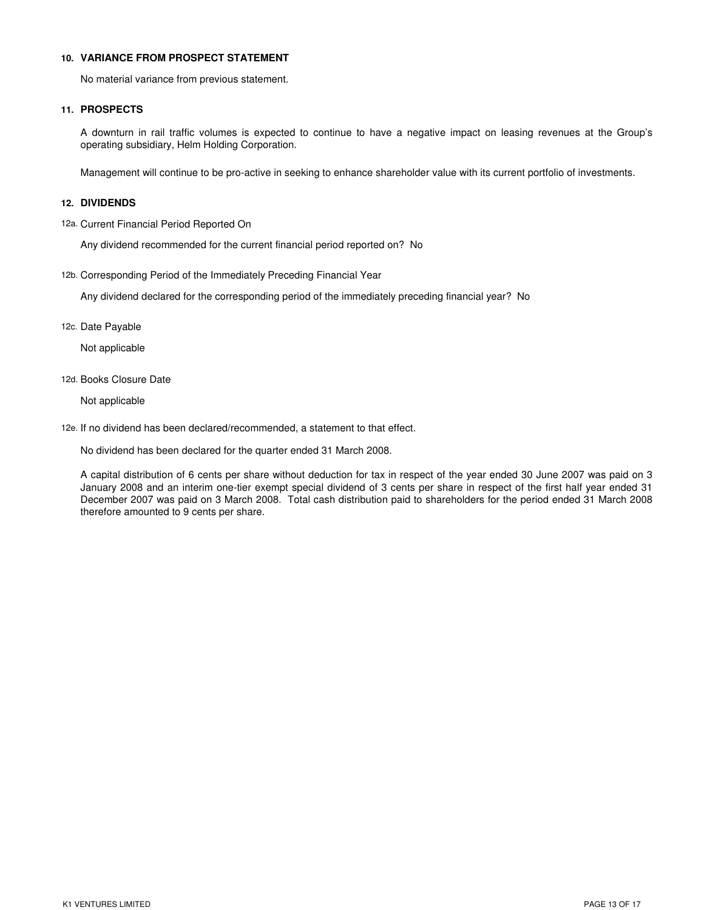### **10. VARIANCE FROM PROSPECT STATEMENT**

No material variance from previous statement.

### **11. PROSPECTS**

A downturn in rail traffic volumes is expected to continue to have a negative impact on leasing revenues at the Group's operating subsidiary, Helm Holding Corporation.

Management will continue to be pro-active in seeking to enhance shareholder value with its current portfolio of investments.

### **12. DIVIDENDS**

12a. Current Financial Period Reported On

Any dividend recommended for the current financial period reported on? No

12b. Corresponding Period of the Immediately Preceding Financial Year

Any dividend declared for the corresponding period of the immediately preceding financial year? No

12c. Date Payable

Not applicable

12d. Books Closure Date

Not applicable

12e. If no dividend has been declared/recommended, a statement to that effect.

No dividend has been declared for the quarter ended 31 March 2008.

A capital distribution of 6 cents per share without deduction for tax in respect of the year ended 30 June 2007 was paid on 3 January 2008 and an interim one-tier exempt special dividend of 3 cents per share in respect of the first half year ended 31 December 2007 was paid on 3 March 2008. Total cash distribution paid to shareholders for the period ended 31 March 2008 therefore amounted to 9 cents per share.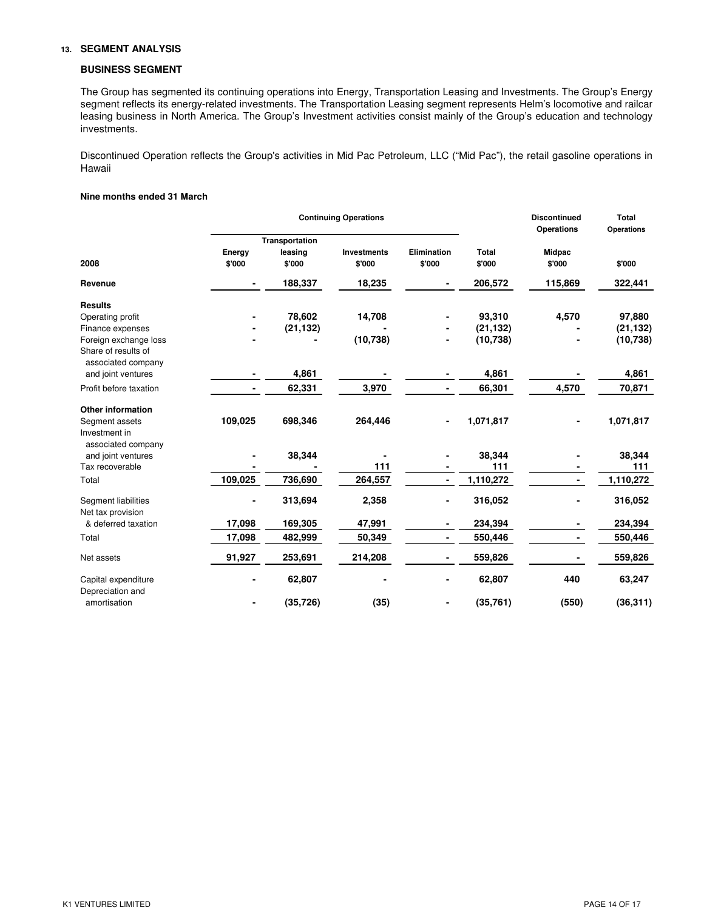### **13. SEGMENT ANALYSIS**

### **BUSINESS SEGMENT**

The Group has segmented its continuing operations into Energy, Transportation Leasing and Investments. The Group's Energy segment reflects its energy-related investments. The Transportation Leasing segment represents Helm's locomotive and railcar leasing business in North America. The Group's Investment activities consist mainly of the Group's education and technology investments.

Discontinued Operation reflects the Group's activities in Mid Pac Petroleum, LLC ("Mid Pac"), the retail gasoline operations in Hawaii

### **Nine months ended 31 March**

|                                                       |                  |                                     | <b>Continuing Operations</b> |                              |                 | <b>Discontinued</b><br><b>Operations</b> | <b>Total</b><br>Operations |
|-------------------------------------------------------|------------------|-------------------------------------|------------------------------|------------------------------|-----------------|------------------------------------------|----------------------------|
| 2008                                                  | Energy<br>\$'000 | Transportation<br>leasing<br>\$'000 | <b>Investments</b><br>\$'000 | <b>Elimination</b><br>\$'000 | Total<br>\$'000 | Midpac<br>\$'000                         | \$'000                     |
| Revenue                                               | ٠                | 188,337                             | 18,235                       | ۰                            | 206,572         | 115,869                                  | 322,441                    |
| <b>Results</b>                                        |                  |                                     |                              |                              |                 |                                          |                            |
| Operating profit                                      |                  | 78,602                              | 14,708                       |                              | 93,310          | 4,570                                    | 97,880                     |
| Finance expenses                                      |                  | (21, 132)                           |                              |                              | (21, 132)       |                                          | (21, 132)                  |
| Foreign exchange loss                                 |                  |                                     | (10, 738)                    |                              | (10, 738)       |                                          | (10, 738)                  |
| Share of results of<br>associated company             |                  |                                     |                              |                              |                 |                                          |                            |
| and joint ventures                                    |                  | 4,861                               |                              |                              | 4,861           |                                          | 4,861                      |
| Profit before taxation                                |                  | 62,331                              | 3,970                        | ٠                            | 66,301          | 4,570                                    | 70,871                     |
| <b>Other information</b>                              |                  |                                     |                              |                              |                 |                                          |                            |
| Segment assets<br>Investment in<br>associated company | 109,025          | 698,346                             | 264,446                      |                              | 1,071,817       |                                          | 1,071,817                  |
| and joint ventures                                    |                  | 38,344                              |                              |                              | 38,344          |                                          | 38,344                     |
| Tax recoverable                                       |                  |                                     | 111                          |                              | 111             |                                          | 111                        |
| Total                                                 | 109,025          | 736,690                             | 264,557                      | $\blacksquare$               | 1,110,272       | Ξ.                                       | 1,110,272                  |
| Segment liabilities<br>Net tax provision              |                  | 313,694                             | 2,358                        |                              | 316,052         |                                          | 316,052                    |
| & deferred taxation                                   | 17,098           | 169,305                             | 47,991                       | ۰                            | 234,394         |                                          | 234,394                    |
| Total                                                 | 17,098           | 482,999                             | 50,349                       | Ξ.                           | 550,446         |                                          | 550,446                    |
| Net assets                                            | 91,927           | 253,691                             | 214,208                      | ۰.                           | 559,826         |                                          | 559,826                    |
| Capital expenditure<br>Depreciation and               |                  | 62,807                              |                              |                              | 62,807          | 440                                      | 63,247                     |
| amortisation                                          |                  | (35, 726)                           | (35)                         |                              | (35, 761)       | (550)                                    | (36, 311)                  |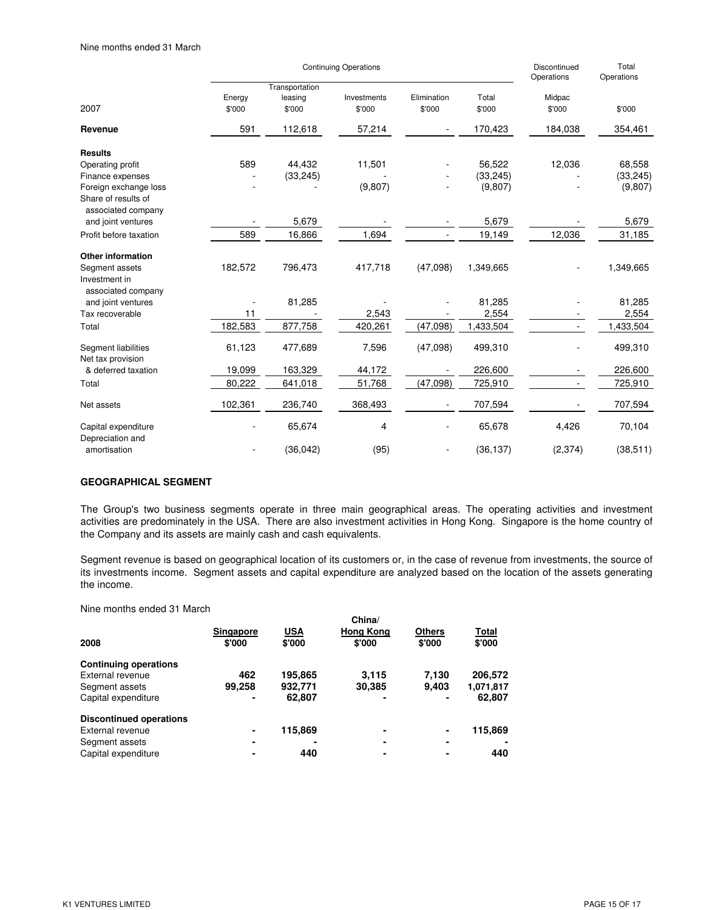|                                                       |                  | <b>Continuing Operations</b>        | Discontinued<br>Operations | Total<br>Operations   |                 |                  |           |
|-------------------------------------------------------|------------------|-------------------------------------|----------------------------|-----------------------|-----------------|------------------|-----------|
| 2007                                                  | Energy<br>\$'000 | Transportation<br>leasing<br>\$'000 | Investments<br>\$'000      | Elimination<br>\$'000 | Total<br>\$'000 | Midpac<br>\$'000 | \$'000    |
| Revenue                                               | 591              | 112,618                             | 57,214                     |                       | 170,423         | 184,038          | 354,461   |
| <b>Results</b>                                        |                  |                                     |                            |                       |                 |                  |           |
| Operating profit                                      | 589              | 44,432                              | 11,501                     |                       | 56,522          | 12,036           | 68,558    |
| Finance expenses                                      |                  | (33, 245)                           |                            |                       | (33, 245)       |                  | (33, 245) |
| Foreign exchange loss<br>Share of results of          |                  |                                     | (9, 807)                   |                       | (9,807)         |                  | (9,807)   |
| associated company<br>and joint ventures              |                  | 5,679                               |                            |                       | 5,679           |                  | 5,679     |
| Profit before taxation                                | 589              | 16,866                              | 1,694                      | ÷.                    | 19,149          | 12,036           | 31,185    |
| <b>Other information</b>                              |                  |                                     |                            |                       |                 |                  |           |
| Segment assets<br>Investment in<br>associated company | 182,572          | 796,473                             | 417,718                    | (47,098)              | 1,349,665       |                  | 1,349,665 |
| and joint ventures                                    |                  | 81,285                              |                            |                       | 81,285          |                  | 81,285    |
| Tax recoverable                                       | 11               |                                     | 2,543                      |                       | 2,554           |                  | 2,554     |
| Total                                                 | 182,583          | 877,758                             | 420,261                    | (47,098)              | 1,433,504       |                  | 1,433,504 |
| Segment liabilities<br>Net tax provision              | 61,123           | 477,689                             | 7,596                      | (47,098)              | 499,310         |                  | 499,310   |
| & deferred taxation                                   | 19,099           | 163,329                             | 44,172                     |                       | 226,600         |                  | 226,600   |
| Total                                                 | 80,222           | 641,018                             | 51,768                     | (47,098)              | 725,910         |                  | 725,910   |
| Net assets                                            | 102,361          | 236,740                             | 368,493                    |                       | 707,594         |                  | 707,594   |
| Capital expenditure<br>Depreciation and               |                  | 65,674                              | 4                          |                       | 65,678          | 4,426            | 70,104    |
| amortisation                                          |                  | (36, 042)                           | (95)                       |                       | (36, 137)       | (2, 374)         | (38, 511) |

## **GEOGRAPHICAL SEGMENT**

The Group's two business segments operate in three main geographical areas. The operating activities and investment activities are predominately in the USA. There are also investment activities in Hong Kong. Singapore is the home country of the Company and its assets are mainly cash and cash equivalents.

Segment revenue is based on geographical location of its customers or, in the case of revenue from investments, the source of its investments income. Segment assets and capital expenditure are analyzed based on the location of the assets generating the income.

Nine months ended 31 March

| Singapore | <b>USA</b> | <b>Hong Kong</b> | <b>Others</b> | Total     |  |  |
|-----------|------------|------------------|---------------|-----------|--|--|
| \$'000    | \$'000     | \$'000           | \$'000        | \$'000    |  |  |
|           |            |                  |               |           |  |  |
| 462       | 195,865    | 3.115            | 7,130         | 206,572   |  |  |
| 99,258    | 932.771    | 30,385           | 9.403         | 1,071,817 |  |  |
| ٠         | 62,807     |                  |               | 62,807    |  |  |
|           |            |                  |               |           |  |  |
| ۰         | 115,869    | ۰                | ۰             | 115,869   |  |  |
| ٠         |            | -                | ۰             |           |  |  |
|           | 440        |                  |               | 440       |  |  |
|           |            |                  | China/        |           |  |  |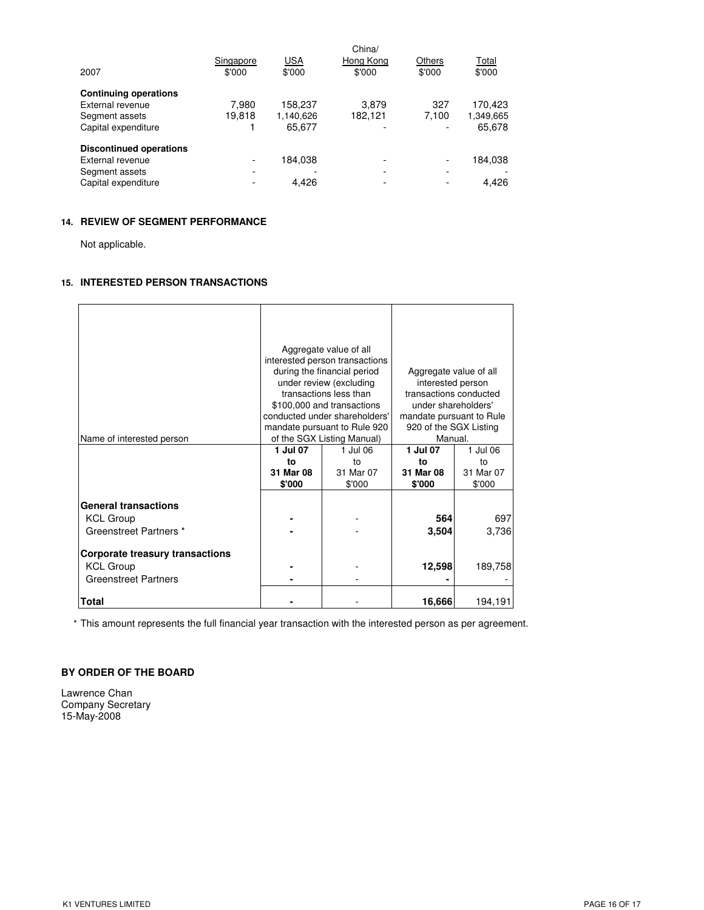| 2007                           | Singapore<br>\$'000      | <b>USA</b><br>\$'000 | China/<br>Hong Kong<br>\$'000 | Others<br>\$'000 | Total<br>\$'000 |
|--------------------------------|--------------------------|----------------------|-------------------------------|------------------|-----------------|
| <b>Continuing operations</b>   |                          |                      |                               |                  |                 |
| External revenue               | 7.980                    | 158,237              | 3.879                         | 327              | 170,423         |
| Segment assets                 | 19,818                   | 1,140,626            | 182,121                       | 7.100            | 1,349,665       |
| Capital expenditure            |                          | 65,677               |                               |                  | 65,678          |
| <b>Discontinued operations</b> |                          |                      |                               |                  |                 |
| External revenue               | -                        | 184,038              |                               |                  | 184,038         |
| Segment assets                 | $\overline{\phantom{0}}$ |                      |                               | -                |                 |
| Capital expenditure            |                          | 4.426                |                               |                  | 4.426           |

## **14. REVIEW OF SEGMENT PERFORMANCE**

Not applicable.

## **15. INTERESTED PERSON TRANSACTIONS**

| Name of interested person                                                                                                                                       | 1 Jul 07<br>to<br>31 Mar 08<br>\$'000 | Aggregate value of all<br>interested person transactions<br>during the financial period<br>under review (excluding<br>transactions less than<br>\$100,000 and transactions<br>conducted under shareholders'<br>mandate pursuant to Rule 920<br>of the SGX Listing Manual)<br>1 Jul 06<br>to<br>31 Mar 07<br>\$'000 | Aggregate value of all<br>interested person<br>transactions conducted<br>under shareholders'<br>mandate pursuant to Rule<br>920 of the SGX Listing<br>Manual.<br>1 Jul 07<br>to<br>31 Mar 08<br>\$'000 | 1 Jul 06<br>to<br>31 Mar 07<br>\$'000 |
|-----------------------------------------------------------------------------------------------------------------------------------------------------------------|---------------------------------------|--------------------------------------------------------------------------------------------------------------------------------------------------------------------------------------------------------------------------------------------------------------------------------------------------------------------|--------------------------------------------------------------------------------------------------------------------------------------------------------------------------------------------------------|---------------------------------------|
| <b>General transactions</b><br><b>KCL Group</b><br>Greenstreet Partners *<br>Corporate treasury transactions<br><b>KCL Group</b><br><b>Greenstreet Partners</b> |                                       |                                                                                                                                                                                                                                                                                                                    | 564<br>3,504<br>12,598                                                                                                                                                                                 | 697<br>3,736<br>189,758               |
| Total                                                                                                                                                           |                                       |                                                                                                                                                                                                                                                                                                                    | 16,666                                                                                                                                                                                                 | 194,191                               |

\* This amount represents the full financial year transaction with the interested person as per agreement.

## **BY ORDER OF THE BOARD**

Lawrence Chan Company Secretary 15-May-2008